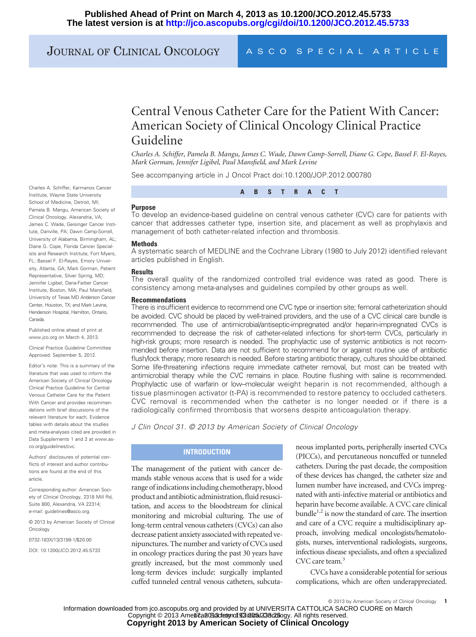# JOURNAL OF CLINICAL ONCOLOGY ASCO SPECIAL ARTICLE

# Central Venous Catheter Care for the Patient With Cancer: American Society of Clinical Oncology Clinical Practice Guideline

*Charles A. Schiffer, Pamela B. Mangu, James C. Wade, Dawn Camp-Sorrell, Diane G. Cope, Bassel F. El-Rayes, Mark Gorman, Jennifer Ligibel, Paul Mansfield, and Mark Levine*

See accompanying article in J Oncol Pract doi:10.1200/JOP.2012.000780

**ABSTRACT**

#### **Purpose**

To develop an evidence-based guideline on central venous catheter (CVC) care for patients with cancer that addresses catheter type, insertion site, and placement as well as prophylaxis and management of both catheter-related infection and thrombosis.

#### **Methods**

A systematic search of MEDLINE and the Cochrane Library (1980 to July 2012) identified relevant articles published in English.

#### **Results**

The overall quality of the randomized controlled trial evidence was rated as good. There is consistency among meta-analyses and guidelines compiled by other groups as well.

#### **Recommendations**

There is insufficient evidence to recommend one CVC type or insertion site; femoral catheterization should be avoided. CVC should be placed by well-trained providers, and the use of a CVC clinical care bundle is recommended. The use of antimicrobial/antiseptic-impregnated and/or heparin-impregnated CVCs is recommended to decrease the risk of catheter-related infections for short-term CVCs, particularly in high-risk groups; more research is needed. The prophylactic use of systemic antibiotics is not recommended before insertion. Data are not sufficient to recommend for or against routine use of antibiotic flush/lock therapy; more research is needed. Before starting antibiotic therapy, cultures should be obtained. Some life-threatening infections require immediate catheter removal, but most can be treated with antimicrobial therapy while the CVC remains in place. Routine flushing with saline is recommended. Prophylactic use of warfarin or low–molecular weight heparin is not recommended, although a tissue plasminogen activator (t-PA) is recommended to restore patency to occluded catheters. CVC removal is recommended when the catheter is no longer needed or if there is a radiologically confirmed thrombosis that worsens despite anticoagulation therapy.

*J Clin Oncol 31. © 2013 by American Society of Clinical Oncology*

# **INTRODUCTION**

The management of the patient with cancer demands stable venous access that is used for a wide range of indications including chemotherapy, blood product and antibiotic administration, fluid resuscitation, and access to the bloodstream for clinical monitoring and microbial culturing. The use of long-term central venous catheters (CVCs) can also decrease patient anxiety associated with repeated venipunctures. The number and variety of CVCs used in oncology practices during the past 30 years have greatly increased, but the most commonly used long-term devices include: surgically implanted cuffed tunneled central venous catheters, subcuta-

neous implanted ports, peripherally inserted CVCs (PICCs), and percutaneous noncuffed or tunneled catheters. During the past decade, the composition of these devices has changed, the catheter size and lumen number have increased, and CVCs impregnated with anti-infective material or antibiotics and heparin have become available. A CVC care clinical bundle<sup>1,2</sup> is now the standard of care. The insertion and care of a CVC require a multidisciplinary approach, involving medical oncologists/hematologists, nurses, interventional radiologists, surgeons, infectious disease specialists, and often a specialized CVC care team.3

CVCs have a considerable potential for serious complications, which are often underappreciated.

Charles A. Schiffer, Karmanos Cancer Institute, Wayne State University School of Medicine, Detroit, MI: Pamela B. Mangu, American Society of Clinical Oncology, Alexandria, VA; James C. Wade, Geisinger Cancer Institute, Danville, PA; Dawn Camp-Sorrell, University of Alabama, Birmingham, AL; Diane G. Cope, Florida Cancer Specialists and Research Institute, Fort Myers, FL; Bassel F. El-Rayes, Emory University, Atlanta, GA; Mark Gorman, Patient Representative, Silver Spring, MD; Jennifer Ligibel, Dana-Farber Cancer Institute, Boston, MA; Paul Mansfield, University of Texas MD Anderson Cancer Center, Houston, TX; and Mark Levine, Henderson Hospital, Hamilton, Ontario, Canada.

Published online ahead of print at www.jco.org on March 4, 2013.

Clinical Practice Guideline Committee Approved: September 5, 2012.

Editor's note: This is a summary of the literature that was used to inform the American Society of Clinical Oncology Clinical Practice Guideline for Central Venous Catheter Care for the Patient With Cancer and provides recommendations with brief discussions of the relevant literature for each. Evidence tables with details about the studies and meta-analyses cited are provided in Data Supplements 1 and 2 at [www.as](www.asco.org/guidelines/cvc)[co.org/guidelines/cvc.](www.asco.org/guidelines/cvc)

Authors' disclosures of potential conflicts of interest and author contributions are found at the end of this article.

Corresponding author: American Society of Clinical Oncology, 2318 Mill Rd, Suite 800, Alexandria, VA 22314; e-mail: guidelines@asco.org.

© 2013 by American Society of Clinical Oncology

0732-183X/13/3199-1/\$20.00

DOI: 10.1200/JCO.2012.45.5733

© 2013 by American Society of Clinical Oncology **1**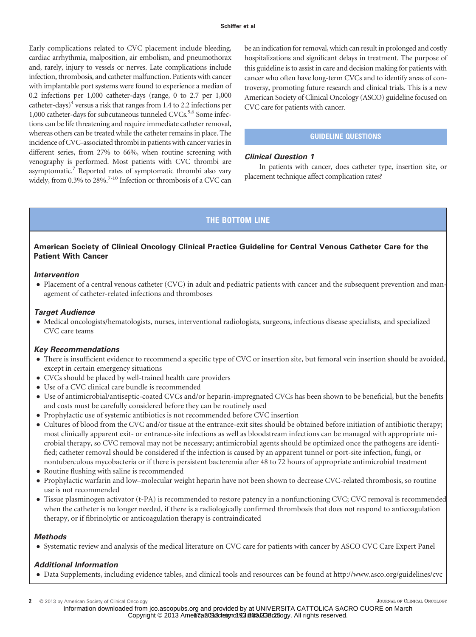Early complications related to CVC placement include bleeding, cardiac arrhythmia, malposition, air embolism, and pneumothorax and, rarely, injury to vessels or nerves. Late complications include infection, thrombosis, and catheter malfunction. Patients with cancer with implantable port systems were found to experience a median of 0.2 infections per 1,000 catheter-days (range, 0 to 2.7 per 1,000 catheter-days)<sup>4</sup> versus a risk that ranges from 1.4 to 2.2 infections per 1,000 catheter-days for subcutaneous tunneled CVCs.<sup>5,6</sup> Some infections can be life threatening and require immediate catheter removal, whereas others can be treated while the catheter remains in place. The incidence of CVC-associated thrombi in patients with cancer varies in different series, from 27% to 66%, when routine screening with venography is performed. Most patients with CVC thrombi are asymptomatic.<sup>7</sup> Reported rates of symptomatic thrombi also vary widely, from 0.3% to 28%.<sup>7-10</sup> Infection or thrombosis of a CVC can be an indication for removal, which can result in prolonged and costly hospitalizations and significant delays in treatment. The purpose of this guideline is to assist in care and decision making for patients with cancer who often have long-term CVCs and to identify areas of controversy, promoting future research and clinical trials. This is a new American Society of Clinical Oncology (ASCO) guideline focused on CVC care for patients with cancer.

# **GUIDELINE QUESTIONS**

# *Clinical Question 1*

In patients with cancer, does catheter type, insertion site, or placement technique affect complication rates?

# **THE BOTTOM LINE**

# **American Society of Clinical Oncology Clinical Practice Guideline for Central Venous Catheter Care for the Patient With Cancer**

#### *Intervention*

● Placement of a central venous catheter (CVC) in adult and pediatric patients with cancer and the subsequent prevention and management of catheter-related infections and thromboses

### *Target Audience*

● Medical oncologists/hematologists, nurses, interventional radiologists, surgeons, infectious disease specialists, and specialized CVC care teams

# *Key Recommendations*

- There is insufficient evidence to recommend a specific type of CVC or insertion site, but femoral vein insertion should be avoided, except in certain emergency situations
- CVCs should be placed by well-trained health care providers
- Use of a CVC clinical care bundle is recommended
- Use of antimicrobial/antiseptic-coated CVCs and/or heparin-impregnated CVCs has been shown to be beneficial, but the benefits and costs must be carefully considered before they can be routinely used
- Prophylactic use of systemic antibiotics is not recommended before CVC insertion
- Cultures of blood from the CVC and/or tissue at the entrance-exit sites should be obtained before initiation of antibiotic therapy; most clinically apparent exit- or entrance-site infections as well as bloodstream infections can be managed with appropriate microbial therapy, so CVC removal may not be necessary; antimicrobial agents should be optimized once the pathogens are identified; catheter removal should be considered if the infection is caused by an apparent tunnel or port-site infection, fungi, or nontuberculous mycobacteria or if there is persistent bacteremia after 48 to 72 hours of appropriate antimicrobial treatment
- Routine flushing with saline is recommended
- Prophylactic warfarin and low–molecular weight heparin have not been shown to decrease CVC-related thrombosis, so routine use is not recommended
- Tissue plasminogen activator (t-PA) is recommended to restore patency in a nonfunctioning CVC; CVC removal is recommended when the catheter is no longer needed, if there is a radiologically confirmed thrombosis that does not respond to anticoagulation therapy, or if fibrinolytic or anticoagulation therapy is contraindicated

# *Methods*

● Systematic review and analysis of the medical literature on CVC care for patients with cancer by ASCO CVC Care Expert Panel

# *Additional Information*

● Data Supplements, including evidence tables, and clinical tools and resources can be found at<http://www.asco.org/guidelines/cvc>

**<sup>2</sup>** © 2013 by American Society of Clinical Oncology **JOURNAL OF CLINICAL ONCOLOGY** JOURNAL OF CLINICAL ONCOLOGY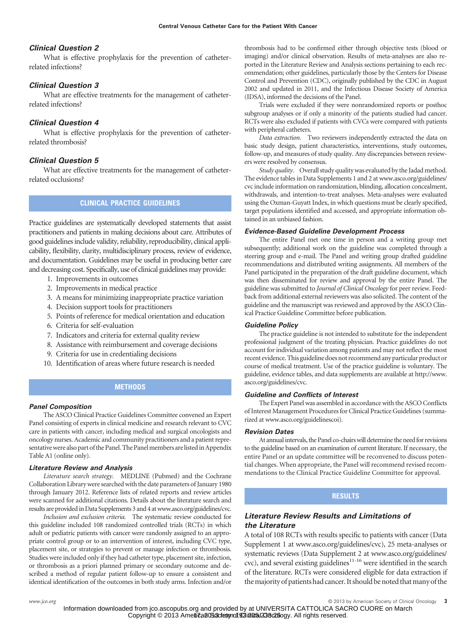#### *Clinical Question 2*

What is effective prophylaxis for the prevention of catheterrelated infections?

# *Clinical Question 3*

What are effective treatments for the management of catheterrelated infections?

### *Clinical Question 4*

What is effective prophylaxis for the prevention of catheterrelated thrombosis?

# *Clinical Question 5*

What are effective treatments for the management of catheterrelated occlusions?

# **CLINICAL PRACTICE GUIDELINES**

Practice guidelines are systematically developed statements that assist practitioners and patients in making decisions about care. Attributes of good guidelines include validity, reliability, reproducibility, clinical applicability, flexibility, clarity, multidisciplinary process, review of evidence, and documentation. Guidelines may be useful in producing better care and decreasing cost. Specifically, use of clinical guidelines may provide:

- 1. Improvements in outcomes
- 2. Improvements in medical practice
- 3. A means for minimizing inappropriate practice variation
- 4. Decision support tools for practitioners
- 5. Points of reference for medical orientation and education
- 6. Criteria for self-evaluation
- 7. Indicators and criteria for external quality review
- 8. Assistance with reimbursement and coverage decisions
- 9. Criteria for use in credentialing decisions
- 10. Identification of areas where future research is needed

# **METHODS**

#### *Panel Composition*

The ASCO Clinical Practice Guidelines Committee convened an Expert Panel consisting of experts in clinical medicine and research relevant to CVC care in patients with cancer, including medical and surgical oncologists and oncology nurses. Academic and community practitioners and a patient representative were also part of the Panel. The Panel members are listed in Appendix Table A1 (online only).

#### *Literature Review and Analysis*

*Literature search strategy.* MEDLINE (Pubmed) and the Cochrane Collaboration Library were searched with the date parameters of January 1980 through January 2012. Reference lists of related reports and review articles were scanned for additional citations. Details about the literature search and results are providedin Data Supplements 3 and 4 a[twww.asco.org/guidelines/cvc.](www.asco.org/guidelines/cvc)

*Inclusion and exclusion criteria.* The systematic review conducted for this guideline included 108 randomized controlled trials (RCTs) in which adult or pediatric patients with cancer were randomly assigned to an appropriate control group or to an intervention of interest, including CVC type, placement site, or strategies to prevent or manage infection or thrombosis. Studies were included only if they had catheter type, placement site, infection, or thrombosis as a priori planned primary or secondary outcome and described a method of regular patient follow-up to ensure a consistent and identical identification of the outcomes in both study arms. Infection and/or

thrombosis had to be confirmed either through objective tests (blood or imaging) and/or clinical observation. Results of meta-analyses are also reported in the Literature Review and Analysis sections pertaining to each recommendation; other guidelines, particularly those by the Centers for Disease Control and Prevention (CDC), originally published by the CDC in August 2002 and updated in 2011, and the Infectious Disease Society of America (IDSA), informed the decisions of the Panel.

Trials were excluded if they were nonrandomized reports or posthoc subgroup analyses or if only a minority of the patients studied had cancer. RCTs were also excluded if patients with CVCs were compared with patients with peripheral catheters.

*Data extraction.* Two reviewers independently extracted the data on basic study design, patient characteristics, interventions, study outcomes, follow-up, and measures of study quality. Any discrepancies between reviewers were resolved by consensus.

*Study quality.* Overall study quality was evaluated by the Jadad method. The evidence tables in Data Supplements 1 and 2 at [www.asco.org/guidelines/](www.asco.org/guidelines/cvc) [cvc](www.asco.org/guidelines/cvc) include information on randomization, blinding, allocation concealment, withdrawals, and intention-to-treat analyses. Meta-analyses were evaluated using the Oxman-Guyatt Index, in which questions must be clearly specified, target populations identified and accessed, and appropriate information obtained in an unbiased fashion.

#### *Evidence-Based Guideline Development Process*

The entire Panel met one time in person and a writing group met subsequently; additional work on the guideline was completed through a steering group and e-mail. The Panel and writing group drafted guideline recommendations and distributed writing assignments. All members of the Panel participated in the preparation of the draft guideline document, which was then disseminated for review and approval by the entire Panel. The guideline was submitted to *Journal of Clinical Oncology* for peer review. Feedback from additional external reviewers was also solicited. The content of the guideline and the manuscript was reviewed and approved by the ASCO Clinical Practice Guideline Committee before publication.

#### *Guideline Policy*

The practice guideline is not intended to substitute for the independent professional judgment of the treating physician. Practice guidelines do not account for individual variation among patients and may not reflect the most recent evidence. This guideline does not recommend any particular product or course of medical treatment. Use of the practice guideline is voluntary. The guideline, evidence tables, and data supplements are available at [http://www.](http://www.asco.org/guidelines/cvc) [asco.org/guidelines/cvc.](http://www.asco.org/guidelines/cvc)

#### *Guideline and Conflicts of Interest*

The Expert Panel was assembled in accordance with the ASCO Conflicts of Interest Management Procedures for Clinical Practice Guidelines (summarized at [www.asco.org/guidelinescoi\)](www.asco.org/guidelinescoi).

#### *Revision Dates*

At annual intervals, the Panel co-chairs will determine the need for revisions to the guideline based on an examination of current literature. If necessary, the entire Panel or an update committee will be reconvened to discuss potential changes. When appropriate, the Panel will recommend revised recommendations to the Clinical Practice Guideline Committee for approval.

# **RESULTS**

# *Literature Review Results and Limitations of the Literature*

A total of 108 RCTs with results specific to patients with cancer (Data Supplement 1 at [www.asco.org/guidelines/cvc\)](www.asco.org/guidelines/cvc), 25 meta-analyses or systematic reviews (Data Supplement 2 at [www.asco.org/guidelines/](www.asco.org/guidelines/cvc) [cvc\)](www.asco.org/guidelines/cvc), and several existing guidelines<sup>11-16</sup> were identified in the search of the literature. RCTs were considered eligible for data extraction if the majority of patients had cancer. It should be noted that many of the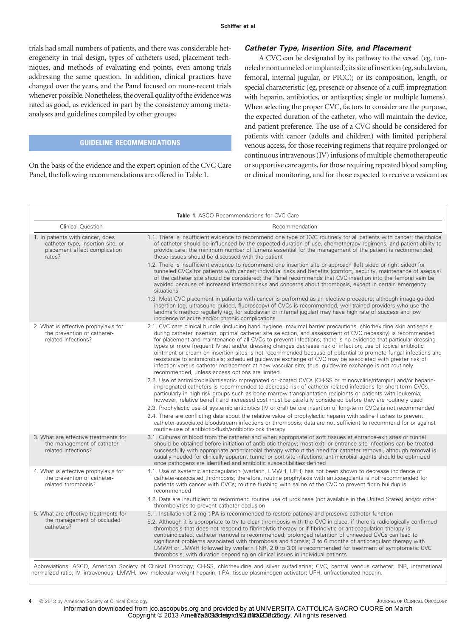trials had small numbers of patients, and there was considerable heterogeneity in trial design, types of catheters used, placement techniques, and methods of evaluating end points, even among trials addressing the same question. In addition, clinical practices have changed over the years, and the Panel focused on more-recent trials whenever possible. Nonetheless, the overall quality of the evidence was rated as good, as evidenced in part by the consistency among metaanalyses and guidelines compiled by other groups.

# **GUIDELINE RECOMMENDATIONS**

On the basis of the evidence and the expert opinion of the CVC Care Panel, the following recommendations are offered in Table 1.

### *Catheter Type, Insertion Site, and Placement*

A CVC can be designated by its pathway to the vessel (eg, tunneled *v* nontunneled or implanted); its site of insertion (eg, subclavian, femoral, internal jugular, or PICC); or its composition, length, or special characteristic (eg, presence or absence of a cuff; impregnation with heparin, antibiotics, or antiseptics; single or multiple lumens). When selecting the proper CVC, factors to consider are the purpose, the expected duration of the catheter, who will maintain the device, and patient preference. The use of a CVC should be considered for patients with cancer (adults and children) with limited peripheral venous access, for those receiving regimens that require prolonged or continuous intravenous (IV) infusions of multiple chemotherapeutic or supportive care agents, for those requiring repeated blood sampling or clinical monitoring, and for those expected to receive a vesicant as

| Table 1. ASCO Recommendations for CVC Care                                                                       |                                                                                                                                                                                                                                                                                                                                                                                                                                                                                                                                                                                                                                                                                                                                                                                                                                                           |  |
|------------------------------------------------------------------------------------------------------------------|-----------------------------------------------------------------------------------------------------------------------------------------------------------------------------------------------------------------------------------------------------------------------------------------------------------------------------------------------------------------------------------------------------------------------------------------------------------------------------------------------------------------------------------------------------------------------------------------------------------------------------------------------------------------------------------------------------------------------------------------------------------------------------------------------------------------------------------------------------------|--|
| <b>Clinical Question</b>                                                                                         | Recommendation                                                                                                                                                                                                                                                                                                                                                                                                                                                                                                                                                                                                                                                                                                                                                                                                                                            |  |
| 1. In patients with cancer, does<br>catheter type, insertion site, or<br>placement affect complication<br>rates? | 1.1. There is insufficient evidence to recommend one type of CVC routinely for all patients with cancer; the choice<br>of catheter should be influenced by the expected duration of use, chemotherapy regimens, and patient ability to<br>provide care; the minimum number of lumens essential for the management of the patient is recommended;<br>these issues should be discussed with the patient                                                                                                                                                                                                                                                                                                                                                                                                                                                     |  |
|                                                                                                                  | 1.2. There is insufficient evidence to recommend one insertion site or approach (left sided or right sided) for<br>tunneled CVCs for patients with cancer; individual risks and benefits (comfort, security, maintenance of asepsis)<br>of the catheter site should be considered; the Panel recommends that CVC insertion into the femoral vein be<br>avoided because of increased infection risks and concerns about thrombosis, except in certain emergency<br>situations                                                                                                                                                                                                                                                                                                                                                                              |  |
|                                                                                                                  | 1.3. Most CVC placement in patients with cancer is performed as an elective procedure; although image-quided<br>insertion (eq. ultrasound quided, fluoroscopy) of CVCs is recommended, well-trained providers who use the<br>landmark method regularly (eg, for subclavian or internal jugular) may have high rate of success and low<br>incidence of acute and/or chronic complications                                                                                                                                                                                                                                                                                                                                                                                                                                                                  |  |
| 2. What is effective prophylaxis for<br>the prevention of catheter-<br>related infections?                       | 2.1. CVC care clinical bundle (including hand hygiene, maximal barrier precautions, chlorhexidine skin antisepsis<br>during catheter insertion, optimal catheter site selection, and assessment of CVC necessity) is recommended<br>for placement and maintenance of all CVCs to prevent infections; there is no evidence that particular dressing<br>types or more frequent IV set and/or dressing changes decrease risk of infection; use of topical antibiotic<br>ointment or cream on insertion sites is not recommended because of potential to promote fungal infections and<br>resistance to antimicrobials; scheduled guidewire exchange of CVC may be associated with greater risk of<br>infection versus catheter replacement at new vascular site; thus, guidewire exchange is not routinely<br>recommended, unless access options are limited |  |
|                                                                                                                  | 2.2. Use of antimicrobial/antiseptic-impregnated or -coated CVCs (CH-SS or minocycline/rifampin) and/or heparin-<br>impregnated catheters is recommended to decrease risk of catheter-related infections for short-term CVCs,<br>particularly in high-risk groups such as bone marrow transplantation recipients or patients with leukemia;<br>however, relative benefit and increased cost must be carefully considered before they are routinely used                                                                                                                                                                                                                                                                                                                                                                                                   |  |
|                                                                                                                  | 2.3. Prophylactic use of systemic antibiotics (IV or oral) before insertion of long-term CVCs is not recommended                                                                                                                                                                                                                                                                                                                                                                                                                                                                                                                                                                                                                                                                                                                                          |  |
|                                                                                                                  | 2.4. There are conflicting data about the relative value of prophylactic heparin with saline flushes to prevent<br>catheter-associated bloodstream infections or thrombosis; data are not sufficient to recommend for or against<br>routine use of antibiotic-flush/antibiotic-lock therapy                                                                                                                                                                                                                                                                                                                                                                                                                                                                                                                                                               |  |
| 3. What are effective treatments for<br>the management of catheter-<br>related infections?                       | 3.1. Cultures of blood from the catheter and when appropriate of soft tissues at entrance-exit sites or tunnel<br>should be obtained before initiation of antibiotic therapy; most exit- or entrance-site infections can be treated<br>successfully with appropriate antimicrobial therapy without the need for catheter removal, although removal is<br>usually needed for clinically apparent tunnel or port-site infections; antimicrobial agents should be optimized<br>once pathogens are identified and antibiotic susceptibilities defined                                                                                                                                                                                                                                                                                                         |  |
| 4. What is effective prophylaxis for<br>the prevention of catheter-<br>related thrombosis?                       | 4.1. Use of systemic anticoagulation (warfarin, LMWH, UFH) has not been shown to decrease incidence of<br>catheter-associated thrombosis; therefore, routine prophylaxis with anticoagulants is not recommended for<br>patients with cancer with CVCs; routine flushing with saline of the CVC to prevent fibrin buildup is<br>recommended                                                                                                                                                                                                                                                                                                                                                                                                                                                                                                                |  |
|                                                                                                                  | 4.2. Data are insufficient to recommend routine use of urokinase (not available in the United States) and/or other<br>thrombolytics to prevent catheter occlusion                                                                                                                                                                                                                                                                                                                                                                                                                                                                                                                                                                                                                                                                                         |  |
| 5. What are effective treatments for<br>the management of occluded<br>catheters?                                 | 5.1. Instillation of 2-mg t-PA is recommended to restore patency and preserve catheter function                                                                                                                                                                                                                                                                                                                                                                                                                                                                                                                                                                                                                                                                                                                                                           |  |
|                                                                                                                  | 5.2. Although it is appropriate to try to clear thrombosis with the CVC in place, if there is radiologically confirmed<br>thrombosis that does not respond to fibrinolytic therapy or if fibrinolytic or anticoagulation therapy is<br>contraindicated, catheter removal is recommended; prolonged retention of unneeded CVCs can lead to<br>significant problems associated with thrombosis and fibrosis; 3 to 6 months of anticoagulant therapy with<br>LMWH or LMWH followed by warfarin (INR, 2.0 to 3.0) is recommended for treatment of symptomatic CVC<br>thrombosis, with duration depending on clinical issues in individual patients                                                                                                                                                                                                            |  |
|                                                                                                                  | Abbreviations: ASCO, American Society of Clinical Oncology; CH-SS, chlorhexidine and silver sulfadiazine; CVC, central venous catheter; INR, international<br>normalized ratio: IV. intravenous: LMWH. low-molecular weight heparin: t-PA, tissue plasminogen activator: UFH, unfractionated heparin.                                                                                                                                                                                                                                                                                                                                                                                                                                                                                                                                                     |  |

**4** © 2013 by American Society of Clinical Oncology **Society** of Clinical Oncology **JOURNAL OF CLINICAL ONCOLOGY**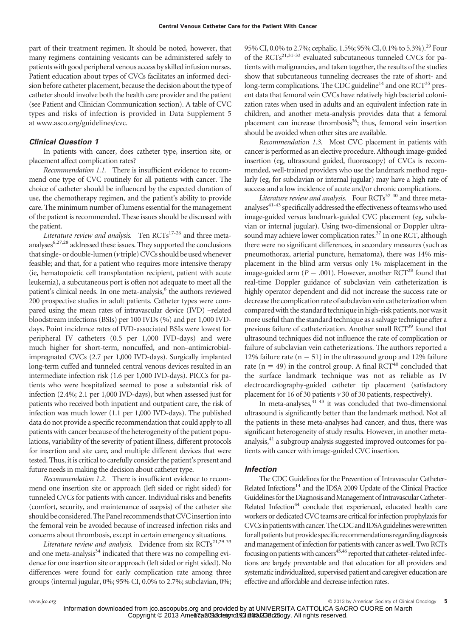part of their treatment regimen. It should be noted, however, that many regimens containing vesicants can be administered safely to patients with good peripheral venous access by skilled infusion nurses. Patient education about types of CVCs facilitates an informed decision before catheter placement, because the decision about the type of catheter should involve both the health care provider and the patient (see Patient and Clinician Communication section). A table of CVC types and risks of infection is provided in Data Supplement 5 at [www.asco.org/guidelines/cvc.](www.asco.org/guidelines/cvc)

#### *Clinical Question 1*

In patients with cancer, does catheter type, insertion site, or placement affect complication rates?

*Recommendation 1.1.* There is insufficient evidence to recommend one type of CVC routinely for all patients with cancer. The choice of catheter should be influenced by the expected duration of use, the chemotherapy regimen, and the patient's ability to provide care. The minimum number of lumens essential for the management of the patient is recommended. These issues should be discussed with the patient.

Literature review and analysis. Ten RCTs<sup>17-26</sup> and three metaanalyses<sup>6,27,28</sup> addressed these issues. They supported the conclusions that single- or double-lumen (*v* triple) CVCs should be used whenever feasible; and that, for a patient who requires more intensive therapy (ie, hematopoietic cell transplantation recipient, patient with acute leukemia), a subcutaneous port is often not adequate to meet all the patient's clinical needs. In one meta-analysis,<sup>6</sup> the authors reviewed 200 prospective studies in adult patients. Catheter types were compared using the mean rates of intravascular device (IVD) –related bloodstream infections (BSIs) per 100 IVDs (%) and per 1,000 IVDdays. Point incidence rates of IVD-associated BSIs were lowest for peripheral IV catheters (0.5 per 1,000 IVD-days) and were much higher for short-term, noncuffed, and non–antimicrobialimpregnated CVCs (2.7 per 1,000 IVD-days). Surgically implanted long-term cuffed and tunneled central venous devices resulted in an intermediate infection risk (1.6 per 1,000 IVD-days). PICCs for patients who were hospitalized seemed to pose a substantial risk of infection (2.4%; 2.1 per 1,000 IVD-days), but when assessed just for patients who received both inpatient and outpatient care, the risk of infection was much lower (1.1 per 1,000 IVD-days). The published data do not provide a specific recommendation that could apply to all patients with cancer because of the heterogeneity of the patient populations, variability of the severity of patient illness, different protocols for insertion and site care, and multiple different devices that were tested. Thus, it is critical to carefully consider the patient's present and future needs in making the decision about catheter type.

*Recommendation 1.2.* There is insufficient evidence to recommend one insertion site or approach (left sided or right sided) for tunneled CVCs for patients with cancer. Individual risks and benefits (comfort, security, and maintenance of asepsis) of the catheter site should be considered. The Panel recommends that CVC insertion into the femoral vein be avoided because of increased infection risks and concerns about thrombosis, except in certain emergency situations.

Literature review and analysis. Evidence from six RCTs<sup>21,29-33</sup> and one meta-analysis<sup>34</sup> indicated that there was no compelling evidence for one insertion site or approach (left sided or right sided). No differences were found for early complication rate among three groups (internal jugular, 0%; 95% CI, 0.0% to 2.7%; subclavian, 0%; 95% CI, 0.0% to 2.7%; cephalic, 1.5%; 95% CI, 0.1% to 5.3%).<sup>29</sup> Four of the RCTs<sup>21,31-33</sup> evaluated subcutaneous tunneled CVCs for patients with malignancies, and taken together, the results of the studies show that subcutaneous tunneling decreases the rate of short- and long-term complications. The CDC guideline<sup>14</sup> and one RCT<sup>35</sup> present data that femoral vein CVCs have relatively high bacterial colonization rates when used in adults and an equivalent infection rate in children, and another meta-analysis provides data that a femoral placement can increase thrombosis<sup>36</sup>; thus, femoral vein insertion should be avoided when other sites are available.

*Recommendation 1.3.* Most CVC placement in patients with cancer is performed as an elective procedure. Although image-guided insertion (eg, ultrasound guided, fluoroscopy) of CVCs is recommended, well-trained providers who use the landmark method regularly (eg, for subclavian or internal jugular) may have a high rate of success and a low incidence of acute and/or chronic complications.

Literature review and analysis. Four RCTs<sup>37-40</sup> and three metaanalyses $^{41-43}$  specifically addressed the effectiveness of teams who used image-guided versus landmark-guided CVC placement (eg, subclavian or internal jugular). Using two-dimensional or Doppler ultrasound may achieve lower complication rates.<sup>37</sup> In one RCT, although there were no significant differences, in secondary measures (such as pneumothorax, arterial puncture, hematoma), there was 14% misplacement in the blind arm versus only 1% misplacement in the image-guided arm ( $P = .001$ ). However, another RCT<sup>38</sup> found that real-time Doppler guidance of subclavian vein catheterization is highly operator dependent and did not increase the success rate or decrease the complication rate of subclavian vein catheterization when compared with the standard technique in high-risk patients, nor was it more useful than the standard technique as a salvage technique after a previous failure of catheterization. Another small RCT<sup>39</sup> found that ultrasound techniques did not influence the rate of complication or failure of subclavian vein catheterizations. The authors reported a 12% failure rate ( $n = 51$ ) in the ultrasound group and 12% failure rate ( $n = 49$ ) in the control group. A final RCT<sup>40</sup> concluded that the surface landmark technique was not as reliable as IV electrocardiography-guided catheter tip placement (satisfactory placement for 16 of 30 patients *v* 30 of 30 patients, respectively).

In meta-analyses, $41-43$  it was concluded that two-dimensional ultrasound is significantly better than the landmark method. Not all the patients in these meta-analyses had cancer, and thus, there was significant heterogeneity of study results. However, in another metaanalysis,<sup>41</sup> a subgroup analysis suggested improved outcomes for patients with cancer with image-guided CVC insertion.

#### *Infection*

The CDC Guidelines for the Prevention of Intravascular Catheter-Related Infections<sup>14</sup> and the IDSA 2009 Update of the Clinical Practice Guidelines for the Diagnosis and Management of Intravascular Catheter-Related Infection<sup>44</sup> conclude that experienced, educated health care workers or dedicated CVC teams are critical for infection prophylaxis for CVCs in patients with cancer. The CDC and IDSA guidelines were written forall patients but provide specific recommendations regarding diagnosis and management of infection for patients with cancer as well. Two RCTs focusing on patients with cancers $45,46$  reported that catheter-related infections are largely preventable and that education for all providers and systematic individualized, supervised patient and caregiver education are effective and affordable and decrease infection rates.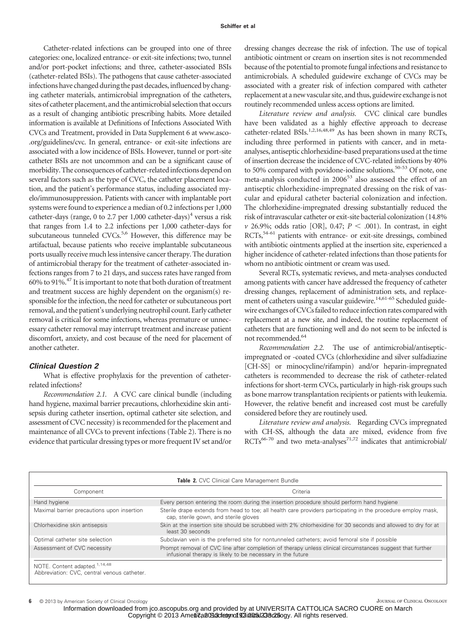Catheter-related infections can be grouped into one of three categories: one, localized entrance- or exit-site infections; two, tunnel and/or port-pocket infections; and three, catheter-associated BSIs (catheter-related BSIs). The pathogens that cause catheter-associated infections have changed during the past decades, influenced by changing catheter materials, antimicrobial impregnation of the catheters, sites of catheter placement, and the antimicrobial selection that occurs as a result of changing antibiotic prescribing habits. More detailed information is available at Definitions of Infections Associated With CVCs and Treatment, provided in Data Supplement 6 at [www.asco-](www.asco.org/guidelines/cvc) [.org/guidelines/cvc.](www.asco.org/guidelines/cvc) In general, entrance- or exit-site infections are associated with a low incidence of BSIs. However, tunnel or port-site catheter BSIs are not uncommon and can be a significant cause of morbidity. The consequences of catheter-related infections depend on several factors such as the type of CVC, the catheter placement location, and the patient's performance status, including associated myelo/immunosuppression. Patients with cancer with implantable port systems were found to experience a median of 0.2 infections per 1,000 catheter-days (range, 0 to 2.7 per 1,000 catheter-days)<sup>4</sup> versus a risk that ranges from 1.4 to 2.2 infections per 1,000 catheter-days for subcutaneous tunneled CVCs.<sup>5,6</sup> However, this difference may be artifactual, because patients who receive implantable subcutaneous ports usually receive much less intensive cancer therapy. The duration of antimicrobial therapy for the treatment of catheter-associated infections ranges from 7 to 21 days, and success rates have ranged from 60% to 91%.47 It is important to note that both duration of treatment and treatment success are highly dependent on the organism(s) responsible for the infection, the need for catheter or subcutaneous port removal, and the patient's underlying neutrophil count. Early catheter removal is critical for some infections, whereas premature or unnecessary catheter removal may interrupt treatment and increase patient discomfort, anxiety, and cost because of the need for placement of another catheter.

#### *Clinical Question 2*

What is effective prophylaxis for the prevention of catheterrelated infections?

*Recommendation 2.1.* A CVC care clinical bundle (including hand hygiene, maximal barrier precautions, chlorhexidine skin antisepsis during catheter insertion, optimal catheter site selection, and assessment of CVC necessity) is recommended for the placement and maintenance of all CVCs to prevent infections (Table 2). There is no evidence that particular dressing types or more frequent IV set and/or dressing changes decrease the risk of infection. The use of topical antibiotic ointment or cream on insertion sites is not recommended because of the potential to promote fungal infections and resistance to antimicrobials. A scheduled guidewire exchange of CVCs may be associated with a greater risk of infection compared with catheter replacement at a new vascular site, and thus, guidewire exchange is not routinely recommended unless access options are limited.

*Literature review and analysis.* CVC clinical care bundles have been validated as a highly effective approach to decrease catheter-related BSIs.<sup>1,2,16,48,49</sup> As has been shown in many RCTs, including three performed in patients with cancer, and in metaanalyses, antiseptic chlorhexidine-based preparations used at the time of insertion decrease the incidence of CVC-related infections by 40% to 50% compared with povidone-iodine solutions.<sup>50-53</sup> Of note, one meta-analysis conducted in 2006<sup>53</sup> also assessed the effect of an antiseptic chlorhexidine-impregnated dressing on the risk of vascular and epidural catheter bacterial colonization and infection. The chlorhexidine-impregnated dressing substantially reduced the risk of intravascular catheter or exit-site bacterial colonization (14.8% *v* 26.9%; odds ratio [OR], 0.47; *P* - .001). In contrast, in eight RCTs,<sup>54-61</sup> patients with entrance- or exit-site dressings, combined with antibiotic ointments applied at the insertion site, experienced a higher incidence of catheter-related infections than those patients for whom no antibiotic ointment or cream was used.

Several RCTs, systematic reviews, and meta-analyses conducted among patients with cancer have addressed the frequency of catheter dressing changes, replacement of administration sets, and replacement of catheters using a vascular guidewire.<sup>14,61-65</sup> Scheduled guidewire exchanges of CVCs failed to reduce infection rates compared with replacement at a new site, and indeed, the routine replacement of catheters that are functioning well and do not seem to be infected is not recommended.64

*Recommendation 2.2.* The use of antimicrobial/antisepticimpregnated or -coated CVCs (chlorhexidine and silver sulfadiazine [CH-SS] or minocycline/rifampin) and/or heparin-impregnated catheters is recommended to decrease the risk of catheter-related infections for short-term CVCs, particularly in high-risk groups such as bone marrow transplantation recipients or patients with leukemia. However, the relative benefit and increased cost must be carefully considered before they are routinely used.

*Literature review and analysis.* Regarding CVCs impregnated with CH-SS, although the data are mixed, evidence from five  $RCTs^{66-70}$  and two meta-analyses<sup>71,72</sup> indicates that antimicrobial/

| Table 2. CVC Clinical Care Management Bundle                                             |                                                                                                                                                                         |  |
|------------------------------------------------------------------------------------------|-------------------------------------------------------------------------------------------------------------------------------------------------------------------------|--|
| Component                                                                                | Criteria                                                                                                                                                                |  |
| Hand hygiene                                                                             | Every person entering the room during the insertion procedure should perform hand hygiene                                                                               |  |
| Maximal barrier precautions upon insertion                                               | Sterile drape extends from head to toe; all health care providers participating in the procedure employ mask,<br>cap, sterile gown, and sterile gloves                  |  |
| Chlorhexidine skin antisepsis                                                            | Skin at the insertion site should be scrubbed with 2% chlorhexidine for 30 seconds and allowed to dry for at<br>least 30 seconds                                        |  |
| Optimal catheter site selection                                                          | Subclavian vein is the preferred site for nontunneled catheters; avoid femoral site if possible                                                                         |  |
| Assessment of CVC necessity                                                              | Prompt removal of CVC line after completion of therapy unless clinical circumstances suggest that further<br>infusional therapy is likely to be necessary in the future |  |
| NOTE. Content adapted. <sup>1,14,48</sup><br>Abbreviation: CVC, central venous catheter. |                                                                                                                                                                         |  |

**6** © 2013 by American Society of Clinical Oncology **JOURNAL OF CLINICAL ONCOLOGY** JOURNAL OF CLINICAL ONCOLOGY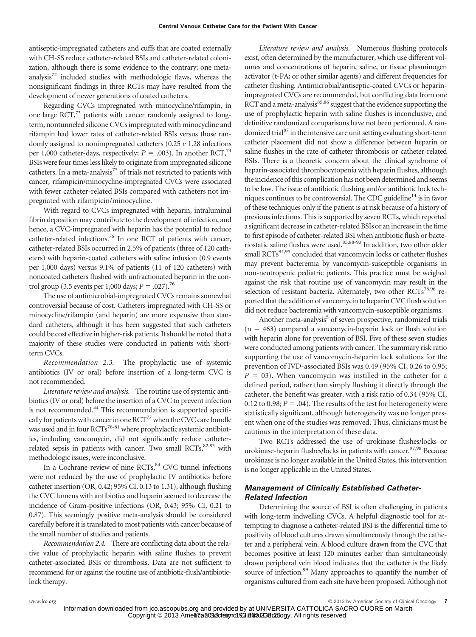antiseptic-impregnated catheters and cuffs that are coated externally with CH-SS reduce catheter-related BSIs and catheter-related colonization, although there is some evidence to the contrary; one metaanalysis<sup>72</sup> included studies with methodologic flaws, whereas the nonsignificant findings in three RCTs may have resulted from the development of newer generations of coated catheters.

Regarding CVCs impregnated with minocycline/rifampin, in one large RCT,<sup>73</sup> patients with cancer randomly assigned to longterm, nontunneled silicone CVCs impregnated with minocycline and rifampin had lower rates of catheter-related BSIs versus those randomly assigned to nonimpregnated catheters (0.25 *v* 1.28 infections per 1,000 catheter-days, respectively;  $P = .003$ ). In another RCT,<sup>74</sup> BSIs were four times less likely to originate from impregnated silicone catheters. In a meta-analysis<sup>75</sup> of trials not restricted to patients with cancer, rifampicin/minocycline-impregnated CVCs were associated with fewer catheter-related BSIs compared with catheters not impregnated with rifampicin/minocycline.

With regard to CVCs impregnated with heparin, intraluminal fibrin deposition may contribute to the development of infection, and hence, a CVC-impregnated with heparin has the potential to reduce catheter-related infections.76 In one RCT of patients with cancer, catheter-related BSIs occurred in 2.5% of patients (three of 120 catheters) with heparin-coated catheters with saline infusion (0.9 events per 1,000 days) versus 9.1% of patients (11 of 120 catheters) with noncoated catheters flushed with unfractionated heparin in the control group (3.5 events per 1,000 days;  $P = .027$ ).<sup>76</sup>

The use of antimicrobial-impregnated CVCs remains somewhat controversial because of cost. Catheters impregnated with CH-SS or minocycline/rifampin (and heparin) are more expensive than standard catheters, although it has been suggested that such catheters could be cost effective in higher-risk patients. It should be noted that a majority of these studies were conducted in patients with shortterm CVCs.

*Recommendation 2.3.* The prophylactic use of systemic antibiotics (IV or oral) before insertion of a long-term CVC is not recommended.

*Literature review and analysis.* The routine use of systemic antibiotics (IV or oral) before the insertion of a CVC to prevent infection is not recommended.<sup>44</sup> This recommendation is supported specifically for patients with cancer in one  $\mathrm{RCT}^{77}$  when the CVC care bundle was used and in four RCTs<sup>78-81</sup> where prophylactic systemic antibiotics, including vancomycin, did not significantly reduce catheterrelated sepsis in patients with cancer. Two small  $RCTs$ ,  $82,83$  with methodologic issues, were inconclusive.

In a Cochrane review of nine  $RCTs$ ,  $84$  CVC tunnel infections were not reduced by the use of prophylactic IV antibiotics before catheter insertion (OR, 0.42; 95% CI, 0.13 to 1.31), although flushing the CVC lumens with antibiotics and heparin seemed to decrease the incidence of Gram-positive infections (OR, 0.43; 95% CI, 0.21 to 0.87). This seemingly positive meta-analysis should be considered carefully before it is translated to most patients with cancer because of the small number of studies and patients.

*Recommendation 2.4.* There are conflicting data about the relative value of prophylactic heparin with saline flushes to prevent catheter-associated BSIs or thrombosis. Data are not sufficient to recommend for or against the routine use of antibiotic-flush/antibioticlock therapy.

*Literature review and analysis.* Numerous flushing protocols exist, often determined by the manufacturer, which use different volumes and concentrations of heparin, saline, or tissue plasminogen activator (t-PA; or other similar agents) and different frequencies for catheter flushing. Antimicrobial/antiseptic-coated CVCs or heparinimpregnated CVCs are recommended, but conflicting data from one RCT and a meta-analysis $85,86$  suggest that the evidence supporting the use of prophylactic heparin with saline flushes is inconclusive, and definitive randomized comparisons have not been performed. A randomized trial<sup>87</sup> in the intensive care unit setting evaluating short-term catheter placement did not show a difference between heparin or saline flushes in the rate of catheter thrombosis or catheter-related BSIs. There is a theoretic concern about the clinical syndrome of heparin-associated thrombocytopenia with heparin flushes, although the incidence of this complication has not been determined and seems to be low. The issue of antibiotic flushing and/or antibiotic lock techniques continues to be controversial. The CDC guideline<sup>14</sup> is in favor of these techniques only if the patient is at risk because of a history of previous infections. This is supported by seven RCTs, which reported a significant decrease in catheter-related BSIs or an increase in the time to first episode of catheter-related BSI when antibiotic flush or bacteriostatic saline flushes were used.<sup>85,88-93</sup> In addition, two other older small RCTs<sup>94,95</sup> concluded that vancomycin locks or catheter flushes may prevent bacteremia by vancomycin-susceptible organisms in non-neutropenic pediatric patients. This practice must be weighed against the risk that routine use of vancomycin may result in the selection of resistant bacteria. Alternately, two other  $RCTs^{78,96}$  reported that the addition of vancomycin to heparin CVC flush solution did not reduce bacteremia with vancomycin-susceptible organisms.

Another meta-analysis<sup>5</sup> of seven prospective, randomized trials  $(n = 463)$  compared a vancomycin-heparin lock or flush solution with heparin alone for prevention of BSI. Five of these seven studies were conducted among patients with cancer. The summary risk ratio supporting the use of vancomycin-heparin lock solutions for the prevention of IVD-associated BSIs was 0.49 (95% CI, 0.26 to 0.95;  $P = 03$ ). When vancomycin was instilled in the catheter for a defined period, rather than simply flushing it directly through the catheter, the benefit was greater, with a risk ratio of 0.34 (95% CI, 0.12 to 0.98;  $P = .04$ ). The results of the test for heterogeneity were statistically significant, although heterogeneity was no longer present when one of the studies was removed. Thus, clinicians must be cautious in the interpretation of these data.

Two RCTs addressed the use of urokinase flushes/locks or urokinase-heparin flushes/locks in patients with cancer.<sup>97,98</sup> Because urokinase is no longer available in the United States, this intervention is no longer applicable in the United States.

# *Management of Clinically Established Catheter-Related Infection*

Determining the source of BSI is often challenging in patients with long-term indwelling CVCs. A helpful diagnostic tool for attempting to diagnose a catheter-related BSI is the differential time to positivity of blood cultures drawn simultaneously through the catheter and a peripheral vein. A blood culture drawn from the CVC that becomes positive at least 120 minutes earlier than simultaneously drawn peripheral vein blood indicates that the catheter is the likely source of infection.<sup>99</sup> Many approaches to quantify the number of organisms cultured from each site have been proposed. Although not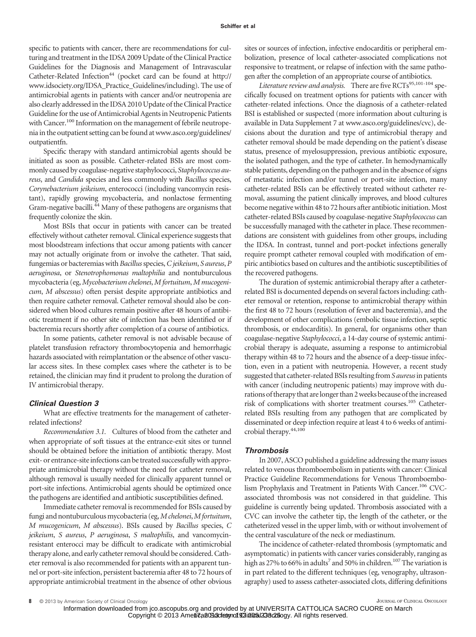#### **Schiffer et al**

specific to patients with cancer, there are recommendations for culturing and treatment in the IDSA 2009 Update of the Clinical Practice Guidelines for the Diagnosis and Management of Intravascular Catheter-Related Infection<sup>44</sup> (pocket card can be found at [http://](http://www.idsociety.org/IDSA_Practice_Guidelines/including) [www.idsociety.org/IDSA\\_Practice\\_Guidelines/including\)](http://www.idsociety.org/IDSA_Practice_Guidelines/including). The use of antimicrobial agents in patients with cancer and/or neutropenia are also clearly addressed in the IDSA 2010 Update of the Clinical Practice Guideline for the use of Antimicrobial Agents in Neutropenic Patients with Cancer.<sup>100</sup> Information on the management of febrile neutropenia in the outpatient setting can be found at [www.asco.org/guidelines/](www.asco.org/guidelines/outpatientfn) [outpatientfn.](www.asco.org/guidelines/outpatientfn)

Specific therapy with standard antimicrobial agents should be initiated as soon as possible. Catheter-related BSIs are most commonly caused by coagulase-negative staphylococci, *Staphylococcus aureus*, and *Candida* species and less commonly with *Bacillus* species, *Corynebacterium jeikeium*, enterococci (including vancomycin resistant), rapidly growing mycobacteria, and nonlactose fermenting Gram-negative bacilli.<sup>44</sup> Many of these pathogens are organisms that frequently colonize the skin.

Most BSIs that occur in patients with cancer can be treated effectively without catheter removal. Clinical experience suggests that most bloodstream infections that occur among patients with cancer may not actually originate from or involve the catheter. That said, fungemias or bacteremias with *Bacillus*species,*C jeikeium*, *S aureus*, *P aeruginosa*, or *Stenotrophomonas maltophilia* and nontuburculous mycobacteria (eg, *Mycobacterium chelonei*, *M fortuitum*, *M mucogenicum*, *M abscessus*) often persist despite appropriate antibiotics and then require catheter removal. Catheter removal should also be considered when blood cultures remain positive after 48 hours of antibiotic treatment if no other site of infection has been identified or if bacteremia recurs shortly after completion of a course of antibiotics.

In some patients, catheter removal is not advisable because of platelet transfusion refractory thrombocytopenia and hemorrhagic hazards associated with reimplantation or the absence of other vascular access sites. In these complex cases where the catheter is to be retained, the clinician may find it prudent to prolong the duration of IV antimicrobial therapy.

# *Clinical Question 3*

What are effective treatments for the management of catheterrelated infections?

*Recommendation 3.1.* Cultures of blood from the catheter and when appropriate of soft tissues at the entrance-exit sites or tunnel should be obtained before the initiation of antibiotic therapy. Most exit- or entrance-site infections can be treated successfully with appropriate antimicrobial therapy without the need for catheter removal, although removal is usually needed for clinically apparent tunnel or port-site infections. Antimicrobial agents should be optimized once the pathogens are identified and antibiotic susceptibilities defined.

Immediate catheter removal is recommended for BSIs caused by fungi and nontuburculous mycobacteria (eg,*M chelonei*,*M fortuitum*, *M mucogenicum*, *M abscessus*). BSIs caused by *Bacillus* species, *C jeikeium*, *S aureus*, *P aeruginosa*, *S maltophilis*, and vancomycinresistant enterocci may be difficult to eradicate with antimicrobial therapy alone, and early catheter removal should be considered. Catheter removal is also recommended for patients with an apparent tunnel or port-site infection, persistent bacteremia after 48 to 72 hours of appropriate antimicrobial treatment in the absence of other obvious

sites or sources of infection, infective endocarditis or peripheral embolization, presence of local catheter-associated complications not responsive to treatment, or relapse of infection with the same pathogen after the completion of an appropriate course of antibiotics.

Literature review and analysis. There are five RCTs<sup>95,101-104</sup> specifically focused on treatment options for patients with cancer with catheter-related infections. Once the diagnosis of a catheter-related BSI is established or suspected (more information about culturing is available in Data Supplement 7 at [www.asco.org/guidelines/cvc\)](www.asco.org/guidelines/cvc), decisions about the duration and type of antimicrobial therapy and catheter removal should be made depending on the patient's disease status, presence of myelosuppression, previous antibiotic exposure, the isolated pathogen, and the type of catheter. In hemodynamically stable patients, depending on the pathogen and in the absence of signs of metastatic infection and/or tunnel or port-site infection, many catheter-related BSIs can be effectively treated without catheter removal, assuming the patient clinically improves, and blood cultures become negative within 48 to 72 hours after antibiotic initiation. Most catheter-related BSIs caused by coagulase-negative *Staphylococcus* can be successfully managed with the catheter in place. These recommendations are consistent with guidelines from other groups, including the IDSA. In contrast, tunnel and port-pocket infections generally require prompt catheter removal coupled with modification of empiric antibiotics based on cultures and the antibiotic susceptibilities of the recovered pathogens.

The duration of systemic antimicrobial therapy after a catheterrelated BSI is documented depends on several factors including: catheter removal or retention, response to antimicrobial therapy within the first 48 to 72 hours (resolution of fever and bacteremia), and the development of other complications (embolic tissue infection, septic thrombosis, or endocarditis). In general, for organisms other than coagulase-negative *Staphylococci*, a 14-day course of systemic antimicrobial therapy is adequate, assuming a response to antimicrobial therapy within 48 to 72 hours and the absence of a deep-tissue infection, even in a patient with neutropenia. However, a recent study suggested that catheter-related BSIs resultingfrom *S aureus*in patients with cancer (including neutropenic patients) may improve with durations of therapy that are longer than 2 weeks because of the increased risk of complications with shorter treatment courses.<sup>105</sup> Catheterrelated BSIs resulting from any pathogen that are complicated by disseminated or deep infection require at least 4 to 6 weeks of antimicrobial therapy.44,100

#### *Thrombosis*

In 2007, ASCO published a guideline addressing the many issues related to venous thromboembolism in patients with cancer: Clinical Practice Guideline Recommendations for Venous Thromboembolism Prophylaxis and Treatment in Patients With Cancer.<sup>106</sup> CVCassociated thrombosis was not considered in that guideline. This guideline is currently being updated. Thrombosis associated with a CVC can involve the catheter tip, the length of the catheter, or the catheterized vessel in the upper limb, with or without involvement of the central vasculature of the neck or mediastinum.

The incidence of catheter-related thrombosis (symptomatic and asymptomatic) in patients with cancer varies considerably, ranging as high as 27% to 66% in adults<sup>7</sup> and 50% in children.<sup>107</sup> The variation is in part related to the different techniques (eg, venography, ultrasonagraphy) used to assess catheter-associated clots, differing definitions

**8** © 2013 by American Society of Clinical Oncology **Journal of Clinical Oncology** Journal of Clinical Oncology

Information downloaded from jco.ascopubs.org and provided by at UNIVERSITA CATTOLICA SACRO CUORE on March<br>Copyright © 2013 Ame**fical Biotety of Stan Diggs Schoo**gy. All rights reserved.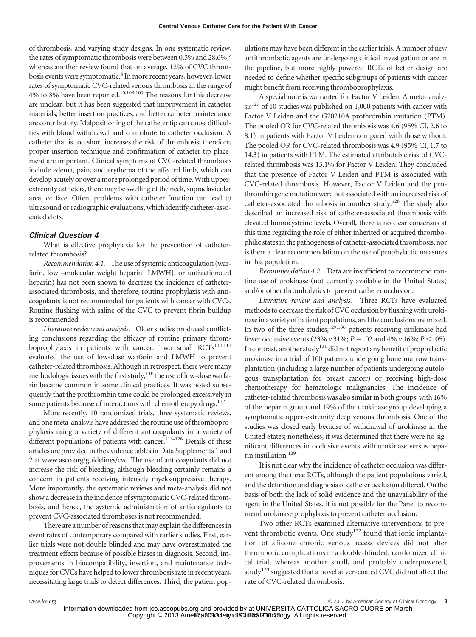of thrombosis, and varying study designs. In one systematic review, the rates of symptomatic thrombosis were between 0.3% and 28.6%, $\frac{7}{9}$ whereas another review found that on average, 12% of CVC thrombosis events were symptomatic.<sup>8</sup> In more recent years, however, lower rates of symptomatic CVC-related venous thrombosis in the range of 4% to 8% have been reported.10,108,109 The reasons for this decrease are unclear, but it has been suggested that improvement in catheter materials, better insertion practices, and better catheter maintenance are contributory. Malpositioning of the catheter tip can cause difficulties with blood withdrawal and contribute to catheter occlusion. A catheter that is too short increases the risk of thrombosis; therefore, proper insertion technique and confirmation of catheter tip placement are important. Clinical symptoms of CVC-related thrombosis include edema, pain, and erythema of the affected limb, which can develop acutely or over a more prolonged period of time. With upperextremity catheters, there may be swelling of the neck, supraclavicular area, or face. Often, problems with catheter function can lead to ultrasound or radiographic evaluations, which identify catheter-associated clots.

#### *Clinical Question 4*

What is effective prophylaxis for the prevention of catheterrelated thrombosis?

*Recommendation 4.1.* The use of systemic anticoagulation (warfarin, low –molecular weight heparin [LMWH], or unfractionated heparin) has not been shown to decrease the incidence of catheterassociated thrombosis, and therefore, routine prophylaxis with anticoagulants is not recommended for patients with cancer with CVCs. Routine flushing with saline of the CVC to prevent fibrin buildup is recommended.

*Literature review and analysis.* Older studies produced conflicting conclusions regarding the efficacy of routine primary thromboprophylaxis in patients with cancer. Two small RCTs<sup>110,111</sup> evaluated the use of low-dose warfarin and LMWH to prevent catheter-related thrombosis. Although in retrospect, there were many methodologic issues with the first study, $110$  the use of low-dose warfarin became common in some clinical practices. It was noted subsequently that the prothrombin time could be prolonged excessively in some patients because of interactions with chemotherapy drugs.<sup>112</sup>

More recently, 10 randomized trials, three systematic reviews, and onemeta-analsyis have addressed the routine use of thromboprophylaxis using a variety of different anticoagulants in a variety of different populations of patients with cancer.<sup>113-126</sup> Details of these articles are provided in the evidence tables in Data Supplements 1 and 2 at [www.asco.org/guidelines/cvc.](www.asco.org/guidelines/cvc) The use of anticoagulants did not increase the risk of bleeding, although bleeding certainly remains a concern in patients receiving intensely myelosuppressive therapy. More importantly, the systematic reviews and meta-analysis did not show a decrease in the incidence of symptomatic CVC-related thrombosis, and hence, the systemic administration of anticoagulants to prevent CVC-associated thromboses is not recommended.

There are a number of reasons that may explain the differences in event rates of contemporary compared with earlier studies. First, earlier trials were not double blinded and may have overestimated the treatment effects because of possible biases in diagnosis. Second, improvements in biocompatibility, insertion, and maintenance techniques for CVCs have helped to lower thrombosis rate in recent years, necessitating large trials to detect differences. Third, the patient populations may have been different in the earlier trials. A number of new antithrombotic agents are undergoing clinical investigation or are in the pipeline, but more highly powered RCTs of better design are needed to define whether specific subgroups of patients with cancer might benefit from receiving thromboprophylaxis.

A special note is warranted for Factor V Leiden. A meta- analysis<sup>127</sup> of 10 studies was published on 1,000 patients with cancer with Factor V Leiden and the G20210A prothrombin mutation (PTM). The pooled OR for CVC-related thrombosis was 4.6 (95% CI, 2.6 to 8.1) in patients with Factor V Leiden compared with those without. The pooled OR for CVC-related thrombosis was 4.9 (95% CI, 1.7 to 14.3) in patients with PTM. The estimated attributable risk of CVCrelated thrombosis was 13.1% for Factor V Leiden. They concluded that the presence of Factor V Leiden and PTM is associated with CVC-related thrombosis. However, Factor V Leiden and the prothrombin gene mutation were not associated with an increased risk of catheter-associated thrombosis in another study.128 The study also described an increased risk of catheter-associated thrombosis with elevated homocysteine levels. Overall, there is no clear consensus at this time regarding the role of either inherited or acquired thrombophilic statesin the pathogenesis of catheter-associated thrombosis, nor is there a clear recommendation on the use of prophylactic measures in this population.

*Recommendation 4.2.* Data are insufficient to recommend routine use of urokinase (not currently available in the United States) and/or other thrombolytics to prevent catheter occlusion.

*Literature review and analysis.* Three RCTs have evaluated methods to decrease the risk of CVC occlusion by flushing with urokinase in a variety of patient populations, and the conclusions are mixed. In two of the three studies, $129,130$  patients receiving urokinase had fewer occlusive events  $(23\% \nu 31\%; P = .02 \text{ and } 4\% \nu 16\%; P < .05)$ . In contrast, another study<sup>131</sup> did not report any benefit of prophylactic urokinase in a trial of 100 patients undergoing bone marrow transplantation (including a large number of patients undergoing autologous transplantation for breast cancer) or receiving high-dose chemotherapy for hematologic malignancies. The incidence of catheter-related thrombosis was also similar in both groups, with 16% of the heparin group and 19% of the urokinase group developing a symptomatic upper-extremity deep venous thrombosis. One of the studies was closed early because of withdrawal of urokinase in the United States; nonetheless, it was determined that there were no significant differences in occlusive events with urokinase versus heparin instillation.<sup>129</sup>

It is not clear why the incidence of catheter occlusion was different among the three RCTs, although the patient populations varied, and the definition and diagnosis of catheter occlusion differed. On the basis of both the lack of solid evidence and the unavailability of the agent in the United States, it is not possible for the Panel to recommend urokinase prophylaxis to prevent catheter occlusion.

Two other RCTs examined alternative interventions to prevent thrombotic events. One study<sup>132</sup> found that ionic implantation of silicone chronic venous access devices did not alter thrombotic complications in a double-blinded, randomized clinical trial, whereas another small, and probably underpowered, study<sup>133</sup> suggested that a novel silver-coated CVC did not affect the rate of CVC-related thrombosis.

Copyright © 2013 Amerlica a Bociety not Cila Mas 238 235 ogy. All rights reserved.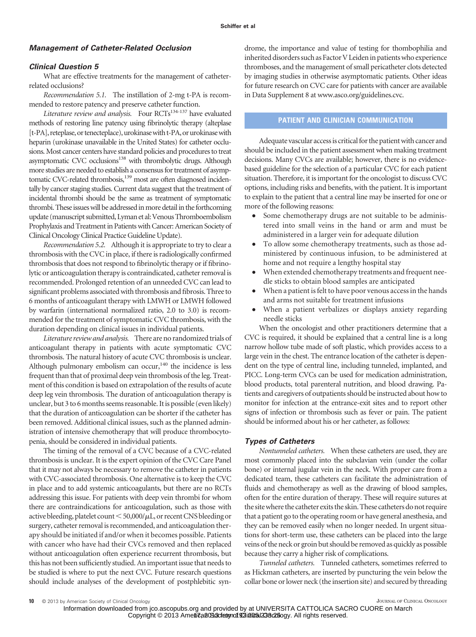# *Management of Catheter-Related Occlusion*

#### *Clinical Question 5*

What are effective treatments for the management of catheterrelated occlusions?

*Recommendation 5.1.* The instillation of 2-mg t-PA is recommended to restore patency and preserve catheter function.

Literature review and analysis. Four RCTs<sup>134-137</sup> have evaluated methods of restoring line patency using fibrinolytic therapy (alteplase [t-PA], reteplase, or tenecteplace), urokinase with t-PA, or urokinase with heparin (urokinase unavailable in the United States) for catheter occlusions.Most cancer centers have standard policies and procedures to treat asymptomatic CVC occlusions<sup>138</sup> with thrombolytic drugs. Although more studies are needed to establish a consensus for treatment of asymptomatic CVC-related thrombosis,<sup>139</sup> most are often diagnosed incidentally by cancer staging studies. Current data suggest that the treatment of incidental thrombi should be the same as treatment of symptomatic thrombi. These issues will be addressed in more detail in the forthcoming update (manuscript submitted, Lyman et al:VenousThromboembolism Prophylaxis and Treatment in Patients with Cancer: American Society of Clinical Oncology Clinical Practice Guideline Update).

*Recommendation 5.2.* Although it is appropriate to try to clear a thrombosis with the CVC in place, if there is radiologically confirmed thrombosis that does not respond to fibrinolytic therapy or if fibrinolytic or anticoagulation therapy is contraindicated, catheter removal is recommended. Prolonged retention of an unneeded CVC can lead to significant problems associatedwith thrombosis and fibrosis. Three to 6 months of anticoagulant therapy with LMWH or LMWH followed by warfarin (international normalized ratio, 2.0 to 3.0) is recommended for the treatment of symptomatic CVC thrombosis, with the duration depending on clinical issues in individual patients.

*Literature review and analysis.* There are no randomized trials of anticoagulant therapy in patients with acute symptomatic CVC thrombosis. The natural history of acute CVC thrombosis is unclear. Although pulmonary embolism can occur,<sup>140</sup> the incidence is less frequent than that of proximal deep vein thrombosis of the leg. Treatment of this condition is based on extrapolation of the results of acute deep leg vein thrombosis. The duration of anticoagulation therapy is unclear, but 3 to 6 months seems reasonable. It is possible (even likely) that the duration of anticoagulation can be shorter if the catheter has been removed. Additional clinical issues, such as the planned administration of intensive chemotherapy that will produce thrombocytopenia, should be considered in individual patients.

The timing of the removal of a CVC because of a CVC-related thrombosis is unclear. It is the expert opinion of the CVC Care Panel that it may not always be necessary to remove the catheter in patients with CVC-associated thrombosis. One alternative is to keep the CVC in place and to add systemic anticoagulants, but there are no RCTs addressing this issue. For patients with deep vein thrombi for whom there are contraindications for anticoagulation, such as those with active bleeding, platelet count  $<$  50,000/ $\mu$ L, or recent CNS bleeding or surgery, catheter removal is recommended, and anticoagulation therapy should be initiated if and/or when it becomes possible. Patients with cancer who have had their CVCs removed and then replaced without anticoagulation often experience recurrent thrombosis, but this has not been sufficiently studied. An important issue that needs to be studied is where to put the next CVC. Future research questions should include analyses of the development of postphlebitic syndrome, the importance and value of testing for thombophilia and inherited disorders such as Factor V Leiden in patients who experience thromboses, and the management of small pericatheter clots detected by imaging studies in otherwise asymptomatic patients. Other ideas for future research on CVC care for patients with cancer are available in Data Supplement 8 at [www.asco.org/guidelines.cvc.](www.asco.org/guidelines.cvc)

# **PATIENT AND CLINICIAN COMMUNICATION**

Adequate vascular access is critical for the patient with cancer and should be included in the patient assessment when making treatment decisions. Many CVCs are available; however, there is no evidencebased guideline for the selection of a particular CVC for each patient situation. Therefore, it is important for the oncologist to discuss CVC options, including risks and benefits, with the patient. It is important to explain to the patient that a central line may be inserted for one or more of the following reasons:

- Some chemotherapy drugs are not suitable to be administered into small veins in the hand or arm and must be administered in a larger vein for adequate dilution
- To allow some chemotherapy treatments, such as those administered by continuous infusion, to be administered at home and not require a lengthy hospital stay
- When extended chemotherapy treatments and frequent needle sticks to obtain blood samples are anticipated
- When a patient is felt to have poor venous access in the hands and arms not suitable for treatment infusions
- When a patient verbalizes or displays anxiety regarding needle sticks

When the oncologist and other practitioners determine that a CVC is required, it should be explained that a central line is a long narrow hollow tube made of soft plastic, which provides access to a large vein in the chest. The entrance location of the catheter is dependent on the type of central line, including tunneled, implanted, and PICC. Long-term CVCs can be used for medication administration, blood products, total parenteral nutrition, and blood drawing. Patients and caregivers of outpatients should be instructed about how to monitor for infection at the entrance-exit sites and to report other signs of infection or thrombosis such as fever or pain. The patient should be informed about his or her catheter, as follows:

#### *Types of Catheters*

*Nontunneled catheters.* When these catheters are used, they are most commonly placed into the subclavian vein (under the collar bone) or internal jugular vein in the neck. With proper care from a dedicated team, these catheters can facilitate the administration of fluids and chemotherapy as well as the drawing of blood samples, often for the entire duration of therapy. These will require sutures at the sitewhere the catheter exits the skin. These catheters do not require that a patient go to the operating room or have general anesthesia, and they can be removed easily when no longer needed. In urgent situations for short-term use, these catheters can be placed into the large veins of the neck or groin but should be removed as quickly as possible because they carry a higher risk of complications.

*Tunneled catheters.* Tunneled catheters, sometimes referred to as Hickman catheters, are inserted by puncturing the vein below the collar bone or lower neck (the insertion site) and secured by threading

Information downloaded from jco.ascopubs.org and provided by at UNIVERSITA CATTOLICA SACRO CUORE on March<br>Copyright © 2013 Ame**fical Biotety of Stan Diggs Schoo**gy. All rights reserved.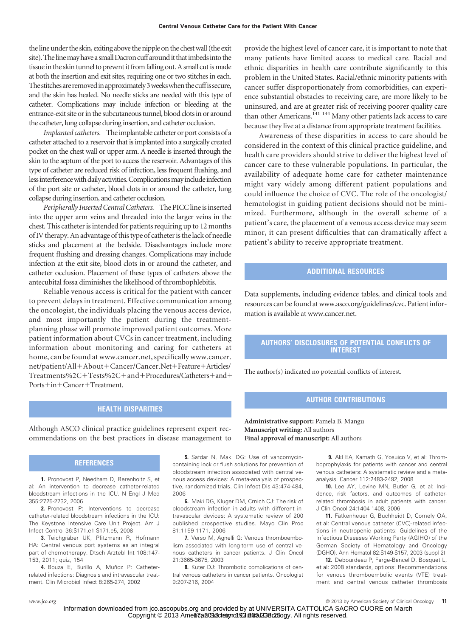the line under the skin, exiting above the nipple on the chest wall (the exit site). The line may have a small Dacron cuff around it that imbeds into the tissue in the skin tunnel to prevent it from falling out. A small cut is made at both the insertion and exit sites, requiring one or two stitches in each. The stitches are removed in approximately 3 weeks when the cuff is secure, and the skin has healed. No needle sticks are needed with this type of catheter. Complications may include infection or bleeding at the entrance-exit site or in the subcutaneous tunnel, blood clots in or around the catheter, lung collapse during insertion, and catheter occlusion.

*Implanted catheters.* The implantable catheter or port consists of a catheter attached to a reservoir that is implanted into a surgically created pocket on the chest wall or upper arm. A needle is inserted through the skin to the septum of the port to access the reservoir. Advantages of this type of catheter are reduced risk of infection, less frequent flushing, and less interference with daily activities. Complications may include infection of the port site or catheter, blood clots in or around the catheter, lung collapse during insertion, and catheter occlusion.

*Peripherally Inserted Central Catheters.* The PICC line is inserted into the upper arm veins and threaded into the larger veins in the chest. This catheter is intended for patients requiring up to 12 months of IV therapy. An advantage of this type of catheter is the lack of needle sticks and placement at the bedside. Disadvantages include more frequent flushing and dressing changes. Complications may include infection at the exit site, blood clots in or around the catheter, and catheter occlusion. Placement of these types of catheters above the antecubital fossa diminishes the likelihood of thrombophlebitis.

Reliable venous access is critical for the patient with cancer to prevent delays in treatment. Effective communication among the oncologist, the individuals placing the venous access device, and most importantly the patient during the treatmentplanning phase will promote improved patient outcomes. More patient information about CVCs in cancer treatment, including information about monitoring and caring for catheters at home, can be found at [www.cancer.net,](www.cancer.net) specifically [www.cancer.](www.cancer.net/patient/All+About+Cancer/Cancer.Net+Feature+Articles/Treatments%2C+Tests%2C+and+Procedures/Catheters+and+Ports+in+Cancer+Treatment) net/patient/All+About+[Cancer/Cancer.Net](www.cancer.net/patient/All+About+Cancer/Cancer.Net+Feature+Articles/Treatments%2C+Tests%2C+and+Procedures/Catheters+and+Ports+in+Cancer+Treatment)+Feature+Articles/  $Treatments\%2C+Tests\%2C+ and+Proceedures/Catheters+ and+$ Ports+in+Cancer+[Treatment.](www.cancer.net/patient/All+About+Cancer/Cancer.Net+Feature+Articles/Treatments%2C+Tests%2C+and+Procedures/Catheters+and+Ports+in+Cancer+Treatment)

# **HEALTH DISPARITIES**

Although ASCO clinical practice guidelines represent expert recommendations on the best practices in disease management to

#### **REFERENCES**

**1.** Pronovost P, Needham D, Berenholtz S, et al: An intervention to decrease catheter-related bloodstream infections in the ICU. N Engl J Med 355:2725-2732, 2006

**2.** Pronovost P: Interventions to decrease catheter-related bloodstream infections in the ICU: The Keystone Intensive Care Unit Project. Am J Infect Control 36:S171.e1-S171.e5, 2008

3. Teichgräber UK, Pfitzmann R, Hofmann HA: Central venous port systems as an integral part of chemotherapy. Dtsch Arztebl Int 108:147- 153, 2011; quiz, 154

4. Bouza E, Burillo A, Muñoz P: Catheterrelated infections: Diagnosis and intravascular treatment. Clin Microbiol Infect 8:265-274, 2002

provide the highest level of cancer care, it is important to note that many patients have limited access to medical care. Racial and ethnic disparities in health care contribute significantly to this problem in the United States. Racial/ethnic minority patients with cancer suffer disproportionately from comorbidities, can experience substantial obstacles to receiving care, are more likely to be uninsured, and are at greater risk of receiving poorer quality care than other Americans.<sup>141-144</sup> Many other patients lack access to care because they live at a distance from appropriate treatment facilities.

Awareness of these disparities in access to care should be considered in the context of this clinical practice guideline, and health care providers should strive to deliver the highest level of cancer care to these vulnerable populations. In particular, the availability of adequate home care for catheter maintenance might vary widely among different patient populations and could influence the choice of CVC. The role of the oncologist/ hematologist in guiding patient decisions should not be minimized. Furthermore, although in the overall scheme of a patient's care, the placement of a venous access device may seem minor, it can present difficulties that can dramatically affect a patient's ability to receive appropriate treatment.

# **ADDITIONAL RESOURCES**

Data supplements, including evidence tables, and clinical tools and resources can be found a[t www.asco.org/guidelines/cvc.](www.asco.org/guidelines/cvc) Patient information is available at [www.cancer.net.](www.cancer.net)

#### **AUTHORS' DISCLOSURES OF POTENTIAL CONFLICTS OF INTEREST**

The author(s) indicated no potential conflicts of interest.

# **AUTHOR CONTRIBUTIONS**

**Administrative support:** Pamela B. Mangu **Manuscript writing:** All authors **Final approval of manuscript:** All authors

**5.** Safdar N, Maki DG: Use of vancomycincontaining lock or flush solutions for prevention of bloodstream infection associated with central venous access devices: A meta-analysis of prospective, randomized trials. Clin Infect Dis 43:474-484, 2006

**6.** Maki DG, Kluger DM, Crnich CJ: The risk of bloodstream infection in adults with different intravascular devices: A systematic review of 200 published prospective studies. Mayo Clin Proc 81:1159-1171, 2006

**7.** Verso M, Agnelli G: Venous thromboembolism associated with long-term use of central venous catheters in cancer patients. J Clin Oncol 21:3665-3675, 2003

**8.** Kuter DJ: Thrombotic complications of central venous catheters in cancer patients. Oncologist 9:207-216, 2004

**9.** Akl EA, Kamath G, Yosuico V, et al: Thromboprophylaxis for patients with cancer and central venous catheters: A systematic review and a metaanalysis. Cancer 112:2483-2492, 2008

**10.** Lee AY, Levine MN, Butler G, et al: Incidence, risk factors, and outcomes of catheterrelated thrombosis in adult patients with cancer. J Clin Oncol 24:1404-1408, 2006

11. Fätkenheuer G, Buchheidt D, Cornely OA, et al: Central venous catheter (CVC)-related infections in neutropenic patients: Guidelines of the Infectious Diseases Working Party (AGIHO) of the German Society of Hematology and Oncology (DGHO). Ann Hematol 82:S149-S157, 2003 (suppl 2)

**12.** Debourdeau P, Farge-Bancel D, Bosquet L, et al: 2008 standards, options: Recommendations for venous thromboembolic events (VTE) treatment and central venous catheter thrombosis

*www.jco.org* © 2013 by American Society of Clinical Oncology **11** Information downloaded from jco.ascopubs.org and provided by at UNIVERSITA CATTOLICA SACRO CUORE on March

Copyright © 2013 Amerlica a Bociety not Cila Mas 238 235 ogy. All rights reserved.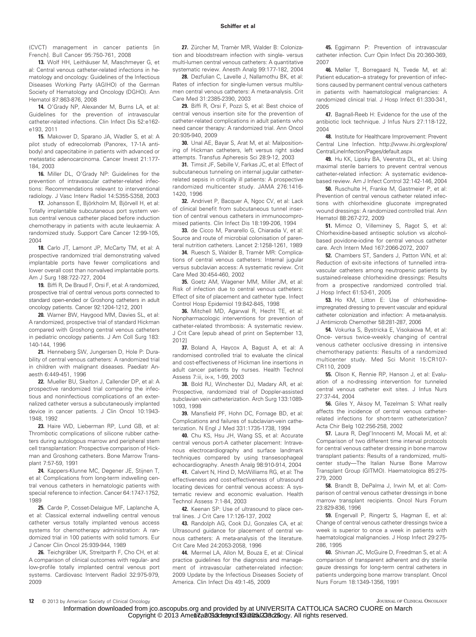(CVCT) management in cancer patients [in French]. Bull Cancer 95:750-761, 2008

**13.** Wolf HH, Leithäuser M, Maschmeyer G, et al: Central venous catheter-related infections in hematology and oncology: Guidelines of the Infectious Diseases Working Party (AGIHO) of the German Society of Hematology and Oncology (DGHO). Ann Hematol 87:863-876, 2008

**14.** O'Grady NP, Alexander M, Burns LA, et al: Guidelines for the prevention of intravascular catheter-related infections. Clin Infect Dis 52:e162 e193, 2011

**15.** Makower D, Sparano JA, Wadler S, et al: A pilot study of edrecolomab (Panorex, 17-1A antibody) and capecitabine in patients with advanced or metastatic adenocarcinoma. Cancer Invest 21:177- 184, 2003

**16.** Miller DL, O'Grady NP: Guidelines for the prevention of intravascular catheter-related infections: Recommendations relevant to interventional radiology. J Vasc Interv Radiol 14:S355-S358, 2003

17. Johansson E, Björkholm M, Björvell H, et al: Totally implantable subcutaneous port system versus central venous catheter placed before induction chemotherapy in patients with acute leukaemia: A randomized study. Support Care Cancer 12:99-105, 2004

**18.** Carlo JT, Lamont JP, McCarty TM, et al: A prospective randomized trial demonstrating valved implantable ports have fewer complications and lower overall cost than nonvalved implantable ports. Am J Surg 188:722-727, 2004

**19.** Biffi R, De Braud F, Orsi F, et al: A randomized, prospective trial of central venous ports connected to standard open-ended or Groshong catheters in adult oncology patients. Cancer 92:1204-1212, 2001

**20.** Warner BW, Haygood MM, Davies SL, et al: A randomized, prospective trial of standard Hickman compared with Groshong central venous catheters in pediatric oncology patients. J Am Coll Surg 183: 140-144, 1996

**21.** Henneberg SW, Jungersen D, Hole P: Durability of central venous catheters: A randomized trial in children with malignant diseases. Paediatr Anaesth 6:449-451, 1996

**22.** Mueller BU, Skelton J, Callender DP, et al: A prospective randomized trial comparing the infectious and noninfectious complications of an externalized catheter versus a subcutaneously implanted device in cancer patients. J Clin Oncol 10:1943- 1948, 1992

**23.** Haire WD, Lieberman RP, Lund GB, et al: Thrombotic complications of silicone rubber catheters during autologous marrow and peripheral stem cell transplantation: Prospective comparison of Hickman and Groshong catheters. Bone Marrow Transplant 7:57-59, 1991

**24.** Kappers-Klunne MC, Degener JE, Stijnen T, et al: Complications from long-term indwelling central venous catheters in hematologic patients with special reference to infection. Cancer 64:1747-1752, 1989

**25.** Carde P, Cosset-Delaigue MF, Laplanche A, et al: Classical external indwelling central venous catheter versus totally implanted venous access systems for chemotherapy administration: A randomized trial in 100 patients with solid tumors. Eur J Cancer Clin Oncol 25:939-944, 1989

26. Teichgräber UK, Streitparth F, Cho CH, et al: A comparison of clinical outcomes with regular- and low-profile totally implanted central venous port systems. Cardiovasc Intervent Radiol 32:975-979, 2009

27. Zürcher M, Tramèr MR, Walder B: Colonization and bloodstream infection with single- versus multi-lumen central venous catheters: A quantitative systematic review. Anesth Analg 99:177-182, 2004

**28.** Dezfulian C, Lavelle J, Nallamothu BK, et al: Rates of infection for single-lumen versus multilumen central venous catheters: A meta-analysis. Crit Care Med 31:2385-2390, 2003

**29.** Biffi R, Orsi F, Pozzi S, et al: Best choice of central venous insertion site for the prevention of catheter-related complications in adult patients who need cancer therapy: A randomized trial. Ann Oncol 20:935-940, 2009

**30.** Unal AE, Bayar S, Arat M, et al: Malpositioning of Hickman catheters, left versus right sided attempts. Transfus Apheresis Sci 28:9-12, 2003

**31.** Timsit JF, Sebille V, Farkas JC, et al: Effect of subcutaneous tunneling on internal jugular catheterrelated sepsis in critically ill patients: A prospective randomized multicenter study. JAMA 276:1416- 1420, 1996

**32.** Andrivet P, Bacquer A, Ngoc CV, et al: Lack of clinical benefit from subcutaneous tunnel insertion of central venous catheters in immunocompromised patients. Clin Infect Dis 18:199-206, 1994

**33.** de Cicco M, Panarello G, Chiaradia V, et al: Source and route of microbial colonisation of parenteral nutrition catheters. Lancet 2:1258-1261, 1989

**34.** Ruesch S, Walder B, Tramèr MR: Complications of central venous catheters: Internal jugular versus subclavian access: A systematic review. Crit Care Med 30:454-460, 2002

**35.** Goetz AM, Wagener MM, Miller JM, et al: Risk of infection due to central venous catheters: Effect of site of placement and catheter type. Infect Control Hosp Epidemiol 19:842-845, 1998

**36.** Mitchell MD, Agarwal R, Hecht TE, et al: Nonpharmacologic interventions for prevention of catheter-related thrombosis: A systematic review. J Crit Care [epub ahead of print on September 13, 2012]

**37.** Boland A, Haycox A, Bagust A, et al: A randomised controlled trial to evaluate the clinical and cost-effectiveness of Hickman line insertions in adult cancer patients by nurses. Health Technol Assess 7:iii, ix-x, 1-99, 2003

**38.** Bold RJ, Winchester DJ, Madary AR, et al: Prospective, randomized trial of Doppler-assisted subclavian vein catheterization. Arch Surg 133:1089- 1093, 1998

**39.** Mansfield PF, Hohn DC, Fornage BD, et al: Complications and failures of subclavian-vein catheterization. N Engl J Med 331:1735-1738, 1994

**40.** Chu KS, Hsu JH, Wang SS, et al: Accurate central venous port-A catheter placement: Intravenous electrocardiography and surface landmark techniques compared by using transesophageal echocardiography. Anesth Analg 98:910-914, 2004

**41.** Calvert N, Hind D, McWilliams RG, et al: The effectiveness and cost-effectiveness of ultrasound locating devices for central venous access: A systematic review and economic evaluation. Health Technol Assess 7:1-84, 2003

**42.** Keenan SP: Use of ultrasound to place central lines. J Crit Care 17:126-137, 2002

**43.** Randolph AG, Cook DJ, Gonzales CA, et al: Ultrasound guidance for placement of central venous catheters: A meta-analysis of the literature. Crit Care Med 24:2053-2058, 1996

**44.** Mermel LA, Allon M, Bouza E, et al: Clinical practice guidelines for the diagnosis and management of intravascular catheter-related infection: 2009 Update by the Infectious Diseases Society of America. Clin Infect Dis 49:1-45, 2009

**45.** Eggimann P: Prevention of intravascular catheter infection. Curr Opin Infect Dis 20:360-369, 2007

**46.** Møller T, Borregaard N, Tvede M, et al: Patient education–a strategy for prevention of infections caused by permanent central venous catheters in patients with haematological malignancies: A randomized clinical trial. J Hosp Infect 61:330-341, 2005

**47.** Bagnall-Reeb H: Evidence for the use of the antibiotic lock technique. J Infus Nurs 27:118-122, 2004

**48.** Institute for Healthcare Improvement: Prevent Central Line Infection. [http://www.ihi.org/explore/](http://www.ihi.org/explore/CentralLineInfection/Pages/default.aspx) [CentralLineInfection/Pages/default.aspx](http://www.ihi.org/explore/CentralLineInfection/Pages/default.aspx)

**49.** Hu KK, Lipsky BA, Veenstra DL, et al: Using maximal sterile barriers to prevent central venous catheter-related infection: A systematic evidencebased review. Am J Infect Control 32:142-146, 2004

**50.** Ruschulte H, Franke M, Gastmeier P, et al: Prevention of central venous catheter related infections with chlorhexidine gluconate impregnated wound dressings: A randomized controlled trial. Ann Hematol 88:267-272, 2009

**51.** Mimoz O, Villeminey S, Ragot S, et al: Chlorhexidine-based antiseptic solution vs alcoholbased povidone-iodine for central venous catheter care. Arch Intern Med 167:2066-2072, 2007

**52.** Chambers ST, Sanders J, Patton WN, et al: Reduction of exit-site infections of tunnelled intravascular catheters among neutropenic patients by sustained-release chlorhexidine dressings: Results from a prospective randomized controlled trial. J Hosp Infect 61:53-61, 2005

**53.** Ho KM, Litton E: Use of chlorhexidineimpregnated dressing to prevent vascular and epidural catheter colonization and infection: A meta-analysis. J Antimicrob Chemother 58:281-287, 2006

**54.** Vokurka S, Bystricka E, Visokaiova M, et al: Once- versus twice-weekly changing of central venous catheter occlusive dressing in intensive chemotherapy patients: Results of a randomized multicenter study. Med Sci Monit 15:CR107- CR110, 2009

**55.** Olson K, Rennie RP, Hanson J, et al: Evaluation of a no-dressing intervention for tunneled central venous catheter exit sites. J Infus Nurs 27:37-44, 2004

**56.** Giles Y, Aksoy M, Tezelman S: What really affects the incidence of central venous catheterrelated infections for short-term catheterization? Acta Chir Belg 102:256-258, 2002

**57.** Laura R, Degl'Innocenti M, Mocali M, et al: Comparison of two different time interval protocols for central venous catheter dressing in bone marrow transplant patients: Results of a randomized, multicenter study—The Italian Nurse Bone Marrow Transplant Group (GITMO). Haematologica 85:275- 279, 2000

**58.** Brandt B, DePalma J, Irwin M, et al: Comparison of central venous catheter dressings in bone marrow transplant recipients. Oncol Nurs Forum 23:829-836, 1996

**59.** Engervall P, Ringertz S, Hagman E, et al: Change of central venous catheter dressings twice a week is superior to once a week in patients with haematological malignancies. J Hosp Infect 29:275- 286, 1995

**60.** Shivnan JC, McGuire D, Freedman S, et al: A comparison of transparent adherent and dry sterile gauze dressings for long-term central catheters in patients undergoing bone marrow transplant. Oncol Nurs Forum 18:1349-1356, 1991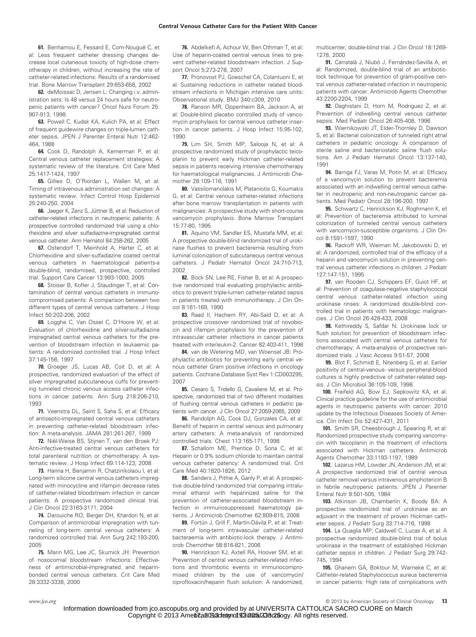**61.** Benhamou E, Fessard E, Com-Nougué C, et al: Less frequent catheter dressing changes decrease local cutaneous toxicity of high-dose chemotherapy in children, without increasing the rate of catheter-related infections: Results of a randomised trial. Bone Marrow Transplant 29:653-658, 2002

**62.** deMoissac D, Jensen L: Changing i.v. administration sets: Is 48 versus 24 hours safe for neutropenic patients with cancer? Oncol Nurs Forum 25: 907-913, 1998

**63.** Powell C, Kudsk KA, Kulich PA, et al: Effect of frequent guidewire changes on triple-lumen catheter sepsis. JPEN J Parenter Enteral Nutr 12:462- 464, 1988

**64.** Cook D, Randolph A, Kernerman P, et al: Central venous catheter replacement strategies: A systematic review of the literature. Crit Care Med 25:1417-1424, 1997

**65.** Gillies D, O'Riordan L, Wallen M, et al: Timing of intravenous administration set changes: A systematic review. Infect Control Hosp Epidemiol 25:240-250, 2004

**66.** Jaeger K, Zenz S, Jüttner B, et al: Reduction of catheter-related infections in neutropenic patients: A prospective controlled randomized trial using a chlorhexidine and silver sulfadiazine-impregnated central venous catheter. Ann Hematol 84:258-262, 2005

**67.** Ostendorf T, Meinhold A, Harter C, et al: Chlorhexidine and silver-sulfadiazine coated central venous catheters in haematological patients-a double-blind, randomised, prospective, controlled trial. Support Care Cancer 13:993-1000, 2005

**68.** Stoiser B, Kofler J, Staudinger T, et al: Contamination of central venous catheters in immunocompromised patients: A comparison between two different types of central venous catheters. J Hosp Infect 50:202-206, 2002

**69.** Logghe C, Van Ossel C, D'Hoore W, et al: Evaluation of chlorhexidine and silver-sulfadiazine impregnated central venous catheters for the prevention of bloodstream infection in leukaemic patients: A randomized controlled trial. J Hosp Infect 37:145-156, 1997

**70.** Groeger JS, Lucas AB, Coit D, et al: A prospective, randomized evaluation of the effect of silver impregnated subcutaneous cuffs for preventing tunneled chronic venous access catheter infections in cancer patients. Ann Surg 218:206-210, 1993

**71.** Veenstra DL, Saint S, Saha S, et al: Efficacy of antiseptic-impregnated central venous catheters in preventing catheter-related bloodstream infection: A meta-analysis. JAMA 281:261-267, 1999

72. Niël-Weise BS, Stijnen T, van den Broek PJ: Anti-infective-treated central venous catheters for total parenteral nutrition or chemotherapy: A systematic review. J Hosp Infect 69:114-123, 2008

**73.** Hanna H, Benjamin R, Chatzinikolaou I, et al: Long-term silicone central venous catheters impregnated with minocycline and rifampin decrease rates of catheter-related bloodstream infection in cancer patients: A prospective randomized clinical trial. J Clin Oncol 22:3163-3171, 2004

**74.** Darouiche RO, Berger DH, Khardori N, et al: Comparison of antimicrobial impregnation with tunneling of long-term central venous catheters: A randomized controlled trial. Ann Surg 242:193-200, 2005

**75.** Marin MG, Lee JC, Skurnick JH: Prevention of nosocomial bloodstream infections: Effectiveness of antimicrobial-impregnated and heparinbonded central venous catheters. Crit Care Med 28:3332-3338, 2000

**76.** Abdelkefi A, Achour W, Ben Othman T, et al: Use of heparin-coated central venous lines to prevent catheter-related bloodstream infection. J Support Oncol 5:273-278, 2007

**77.** Pronovost PJ, Goeschel CA, Colantuoni E, et al: Sustaining reductions in catheter related bloodstream infections in Michigan intensive care units: Observational study. BMJ 340:c309, 2010

**78.** Ranson MR, Oppenheim BA, Jackson A, et al: Double-blind placebo controlled study of vancomycin prophylaxis for central venous catheter insertion in cancer patients. J Hosp Infect 15:95-102, 1990

**79.** Lim SH, Smith MP, Salooja N, et al: A prospective randomized study of prophylactic teicoplanin to prevent early Hickman catheter-related sepsis in patients receiving intensive chemotherapy for haematological malignancies. J Antimicrob Chemother 28:109-116, 1991

**80.** Vassilomanolakis M, Plataniotis G, Koumakis G, et al: Central venous catheter-related infections after bone marrow transplantation in patients with malignancies: A prospective study with short-course vancomycin prophylaxis. Bone Marrow Transplant 15:77-80, 1995

**81.** Aquino VM, Sandler ES, Mustafa MM, et al: A prospective double-blind randomized trial of urokinase flushes to prevent bacteremia resulting from luminal colonization of subcutaneous central venous catheters. J Pediatr Hematol Oncol 24:710-713, 2002

**82.** Bock SN, Lee RE, Fisher B, et al: A prospective randomized trial evaluating prophylactic antibiotics to prevent triple-lumen catheter-related sepsis in patients treated with immunotherapy. J Clin Oncol 8:161-169, 1990

**83.** Raad II, Hachem RY, Abi-Said D, et al: A prospective crossover randomized trial of novobiocin and rifampin prophylaxis for the prevention of intravascular catheter infections in cancer patients treated with interleukin-2. Cancer 82:403-411, 1998

**84.** van de Wetering MD, van Woensel JB: Prophylactic antibiotics for preventing early central venous catheter Gram positive infections in oncology patients. Cochrane Database Syst Rev 1:CD003295, 2007

**85.** Cesaro S, Tridello G, Cavaliere M, et al: Prospective, randomized trial of two different modalities of flushing central venous catheters in pediatric patients with cancer. J Clin Oncol 27:2059-2065, 2009

**86.** Randolph AG, Cook DJ, Gonzales CA, et al: Benefit of heparin in central venous and pulmonary artery catheters: A meta-analysis of randomized controlled trials. Chest 113:165-171, 1998

**87.** Schallom ME, Prentice D, Sona C, et al: Heparin or 0.9% sodium chloride to maintain central venous catheter patency: A randomized trial. Crit Care Med 40:1820-1826, 2012

**88.** Sanders J, Pithie A, Ganly P, et al: A prospective double-blind randomized trial comparing intraluminal ethanol with heparinized saline for the prevention of catheter-associated bloodstream infection in immunosuppressed haematology patients. J Antimicrob Chemother 62:809-815, 2008

89. Fortún J, Grill F, Martín-Dávila P, et al: Treatment of long-term intravascular catheter-related bacteraemia with antibiotic-lock therapy. J Antimicrob Chemother 58:816-821, 2006

**90.** Henrickson KJ, Axtell RA, Hoover SM, et al: Prevention of central venous catheter-related infections and thrombotic events in immunocompromised children by the use of vancomycin/ ciprofloxacin/heparin flush solution: A randomized,

multicenter, double-blind trial. J Clin Oncol 18:1269- 1278, 2000

91. Carratalà J, Niubó J, Fernández-Sevilla A, et al: Randomized, double-blind trial of an antibioticlock technique for prevention of gram-positive central venous catheter-related infection in neutropenic patients with cancer. Antimicrob Agents Chemother 43:2200-2204, 1999

**92.** Daghistani D, Horn M, Rodriguez Z, et al: Prevention of indwelling central venous catheter sepsis. Med Pediatr Oncol 26:405-408, 1996

**93.** Wiernikowski JT, Elder-Thornley D, Dawson S, et al: Bacterial colonization of tunneled right atrial catheters in pediatric oncology: A comparison of sterile saline and bacteriostatic saline flush solutions. Am J Pediatr Hematol Oncol 13:137-140, 1991

**94.** Barriga FJ, Varas M, Potin M, et al: Efficacy of a vancomycin solution to prevent bacteremia associated with an indwelling central venous catheter in neutropenic and non-neutropenic cancer patients. Med Pediatr Oncol 28:196-200, 1997

**95.** Schwartz C, Henrickson KJ, Roghmann K, et al: Prevention of bacteremia attributed to luminal colonization of tunneled central venous catheters with vancomycin-susceptible organisms. J Clin Oncol 8:1591-1597, 1990

**96.** Rackoff WR, Weiman M, Jakobowski D, et al: A randomized, controlled trial of the efficacy of a heparin and vancomycin solution in preventing central venous catheter infections in children. J Pediatr 127:147-151, 1995

**97.** van Rooden CJ, Schippers EF, Guiot HF, et al: Prevention of coagulase-negative staphylococcal central venous catheter-related infection using urokinase rinses: A randomized double-blind controlled trial in patients with hematologic malignancies. J Clin Oncol 26:428-433, 2008

**98.** Kethireddy S, Safdar N: Urokinase lock or flush solution for prevention of bloodstream infections associated with central venous catheters for chemotherapy: A meta-analysis of prospective randomized trials. J Vasc Access 9:51-57, 2008

**99.** Blot F, Schmidt E, Nitenberg G, et al: Earlier positivity of central-venous- versus peripheral-blood cultures is highly predictive of catheter-related sepsis. J Clin Microbiol 36:105-109, 1998

**100.** Freifeld AG, Bow EJ, Sepkowitz KA, et al: Clinical practice guideline for the use of antimicrobial agents in neutropenic patients with cancer: 2010 update by the Infectious Diseases Society of America. Clin Infect Dis 52:427-431, 2011

**101.** Smith SR, Cheesbrough J, Spearing R, et al: Randomized prospective study comparing vancomycin with teicoplanin in the treatment of infections associated with Hickman catheters. Antimicrob Agents Chemother 33:1193-1197, 1989

**102.** Lazarus HM, Lowder JN, Anderson JM, et al: A prospective randomized trial of central venous catheter removal versus intravenous amphotericin B in febrile neutropenic patients. JPEN J Parenter Enteral Nutr 8:501-505, 1984

**103.** Atkinson JB, Chamberlin K, Boody BA: A prospective randomized trial of urokinase as an adjuvant in the treatment of proven Hickman catheter sepsis. J Pediatr Surg 33:714-716, 1998

**104.** La Quaglia MP, Caldwell C, Lucas A, et al: A prospective randomized double-blind trial of bolus urokinase in the treatment of established Hickman catheter sepsis in children. J Pediatr Surg 29:742- 745, 1994

**105.** Ghanem GA, Boktour M, Warneke C, et al: Catheter-related Staphylococcus aureus bacteremia in cancer patients: High rate of complications with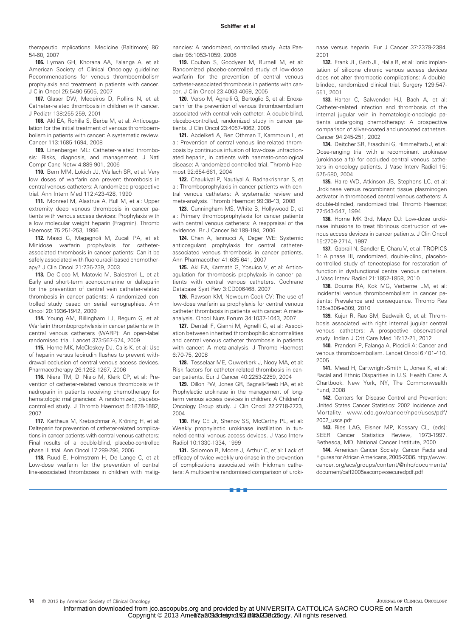therapeutic implications. Medicine (Baltimore) 86: 54-60, 2007

**106.** Lyman GH, Khorana AA, Falanga A, et al: American Society of Clinical Oncology guideline: Recommendations for venous thromboembolism prophylaxis and treatment in patients with cancer. J Clin Oncol 25:5490-5505, 2007

**107.** Glaser DW, Medeiros D, Rollins N, et al: Catheter-related thrombosis in children with cancer. J Pediatr 138:255-259, 2001

**108.** Akl EA, Rohilla S, Barba M, et al: Anticoagulation for the initial treatment of venous thromboembolism in patients with cancer: A systematic review. Cancer 113:1685-1694, 2008

**109.** Linenberger ML: Catheter-related thrombosis: Risks, diagnosis, and management. J Natl Compr Canc Netw 4:889-901, 2006

**110.** Bern MM, Lokich JJ, Wallach SR, et al: Very low doses of warfarin can prevent thrombosis in central venous catheters: A randomized prospective trial. Ann Intern Med 112:423-428, 1990

**111.** Monreal M, Alastrue A, Rull M, et al: Upper extremity deep venous thrombosis in cancer patients with venous access devices: Prophylaxis with a low molecular weight heparin (Fragmin). Thromb Haemost 75:251-253, 1996

**112.** Masci G, Magagnoli M, Zucali PA, et al: Minidose warfarin prophylaxis for catheterassociated thrombosis in cancer patients: Can it be safely associated with fluorouracil-based chemotherapy? J Clin Oncol 21:736-739, 2003

**113.** De Cicco M, Matovic M, Balestreri L, et al: Early and short-term acenocumarine or dalteparin for the prevention of central vein catheter-related thrombosis in cancer patients: A randomized controlled study based on serial venographies. Ann Oncol 20:1936-1942, 2009

**114.** Young AM, Billingham LJ, Begum G, et al: Warfarin thromboprophylaxis in cancer patients with central venous catheters (WARP): An open-label randomised trial. Lancet 373:567-574, 2009

**115.** Horne MK, McCloskey DJ, Calis K, et al: Use of heparin versus lepirudin flushes to prevent withdrawal occlusion of central venous access devices. Pharmacotherapy 26:1262-1267, 2006

**116.** Niers TM, Di Nisio M, Klerk CP, et al: Prevention of catheter-related venous thrombosis with nadroparin in patients receiving chemotherapy for hematologic malignancies: A randomized, placebocontrolled study. J Thromb Haemost 5:1878-1882, 2007

117. Karthaus M, Kretzschmar A, Kröning H, et al: Dalteparin for prevention of catheter-related complications in cancer patients with central venous catheters: Final results of a double-blind, placebo-controlled phase III trial. Ann Oncol 17:289-296, 2006

**118.** Ruud E, Holmstrøm H, De Lange C, et al: Low-dose warfarin for the prevention of central line-associated thromboses in children with malignancies: A randomized, controlled study. Acta Paediatr 95:1053-1059, 2006

**119.** Couban S, Goodyear M, Burnell M, et al: Randomized placebo-controlled study of low-dose warfarin for the prevention of central venous catheter-associated thrombosis in patients with cancer. J Clin Oncol 23:4063-4069, 2005

**120.** Verso M, Agnelli G, Bertoglio S, et al: Enoxaparin for the prevention of venous thromboembolism associated with central vein catheter: A double-blind, placebo-controlled, randomized study in cancer patients. J Clin Oncol 23:4057-4062, 2005

**121.** Abdelkefi A, Ben Othman T, Kammoun L, et al: Prevention of central venous line-related thrombosis by continuous infusion of low-dose unfractionated heparin, in patients with haemato-oncological disease: A randomized controlled trial. Thromb Haemost 92:654-661, 2004

**122.** Chaukiyal P, Nautiyal A, Radhakrishnan S, et al: Thromboprophylaxis in cancer patients with central venous catheters: A systematic review and meta-analysis. Thromb Haemost 99:38-43, 2008

**123.** Cunningham MS, White B, Hollywood D, et al: Primary thromboprophylaxis for cancer patients with central venous catheters: A reappraisal of the evidence. Br J Cancer 94:189-194, 2006

**124.** Chan A, Iannucci A, Dager WE: Systemic anticoagulant prophylaxis for central catheterassociated venous thrombosis in cancer patients. Ann Pharmacother 41:635-641, 2007

**125.** Akl EA, Karmath G, Yosuico V, et al: Anticoagulation for thrombosis prophylaxis in cancer patients with central venous catheters. Cochrane Database Syst Rev 3:CD006468, 2007

**126.** Rawson KM, Newburn-Cook CV: The use of low-dose warfarin as prophylaxis for central venous catheter thrombosis in patients with cancer: A metaanalysis. Oncol Nurs Forum 34:1037-1043, 2007

**127.** Dentali F, Gianni M, Agnelli G, et al: Association between inherited thrombophilic abnormalities and central venous catheter thrombosis in patients with cancer: A meta-analysis. J Thromb Haemost 6:70-75, 2008

**128.** Tesselaar ME, Ouwerkerk J, Nooy MA, et al: Risk factors for catheter-related thrombosis in cancer patients. Eur J Cancer 40:2253-2259, 2004

**129.** Dillon PW, Jones GR, Bagnall-Reeb HA, et al: Prophylactic urokinase in the management of longterm venous access devices in children: A Children's Oncology Group study. J Clin Oncol 22:2718-2723, 2004

130. Ray CE Jr, Shenoy SS, McCarthy PL, et al: Weekly prophylactic urokinase instillation in tunneled central venous access devices. J Vasc Interv Radiol 10:1330-1334, 1999

**131.** Solomon B, Moore J, Arthur C, et al: Lack of efficacy of twice-weekly urokinase in the prevention of complications associated with Hickman catheters: A multicentre randomised comparison of uroki-

■■■

nase versus heparin. Eur J Cancer 37:2379-2384, 2001

**132.** Frank JL, Garb JL, Halla B, et al: Ionic implantation of silicone chronic venous access devices does not alter thrombotic complications: A doubleblinded, randomized clinical trial. Surgery 129:547- 551, 2001

**133.** Harter C, Salwender HJ, Bach A, et al: Catheter-related infection and thrombosis of the internal jugular vein in hematologic-oncologic patients undergoing chemotherapy: A prospective comparison of silver-coated and uncoated catheters. Cancer 94:245-251, 2002

**134.** Deitcher SR, Fraschini G, Himmelfarb J, et al: Dose-ranging trial with a recombinant urokinase (urokinase alfa) for occluded central venous catheters in oncology patients. J Vasc Interv Radiol 15: 575-580, 2004

**135.** Haire WD, Atkinson JB, Stephens LC, et al: Urokinase versus recombinant tissue plasminogen activator in thrombosed central venous catheters: A double-blinded, randomized trial. Thromb Haemost 72:543-547, 1994

**136.** Horne MK 3rd, Mayo DJ: Low-dose urokinase infusions to treat fibrinous obstruction of venous access devices in cancer patients. J Clin Oncol 15:2709-2714, 1997

**137.** Gabrail N, Sandler E, Charu V, et al: TROPICS 1: A phase III, randomized, double-blind, placebocontrolled study of tenecteplase for restoration of function in dysfunctional central venous catheters. J Vasc Interv Radiol 21:1852-1858, 2010

**138.** Douma RA, Kok MG, Verberne LM, et al: Incidental venous thromboembolism in cancer patients: Prevalence and consequence. Thromb Res 125:e306-e309, 2010

**139.** Kujur R, Rao SM, Badwaik G, et al: Thrombosis associated with right internal jugular central venous catheters: A prospective observational study. Indian J Crit Care Med 16:17-21, 2012

**140.** Prandoni P, Falanga A, Piccioli A: Cancer and venous thromboembolism. Lancet Oncol 6:401-410, 2005

**141.** Mead H, Cartwright-Smith L, Jones K, et al: Racial and Ethnic Disparities in U.S. Health Care: A Chartbook. New York, NY, The Commonwealth Fund, 2008

**142.** Centers for Disease Control and Prevention: United States Cancer Statistics: 2002 Incidence and Mortality. [www.cdc.gov/cancer/npcr/uscs/pdf/](www.cdc.gov/cancer/npcr/uscs/pdf/2002_uscs.pdf) [2002\\_uscs.pdf](www.cdc.gov/cancer/npcr/uscs/pdf/2002_uscs.pdf)

**143.** Ries LAG, Eisner MP, Kossary CL, (eds): SEER Cancer Statistics Review, 1973-1997. Bethesda, MD, National Cancer Institute, 2000

**144.** American Cancer Society: Cancer Facts and Figures for African Americans, 2005-2006[. http://www.](http://www.cancer.org/acs/groups/content/@nho/documents/document/caff2005aacorrpwsecuredpdf.pdf) [cancer.org/acs/groups/content/@nho/documents/](http://www.cancer.org/acs/groups/content/@nho/documents/document/caff2005aacorrpwsecuredpdf.pdf) [document/caff2005aacorrpwsecuredpdf.pdf](http://www.cancer.org/acs/groups/content/@nho/documents/document/caff2005aacorrpwsecuredpdf.pdf)